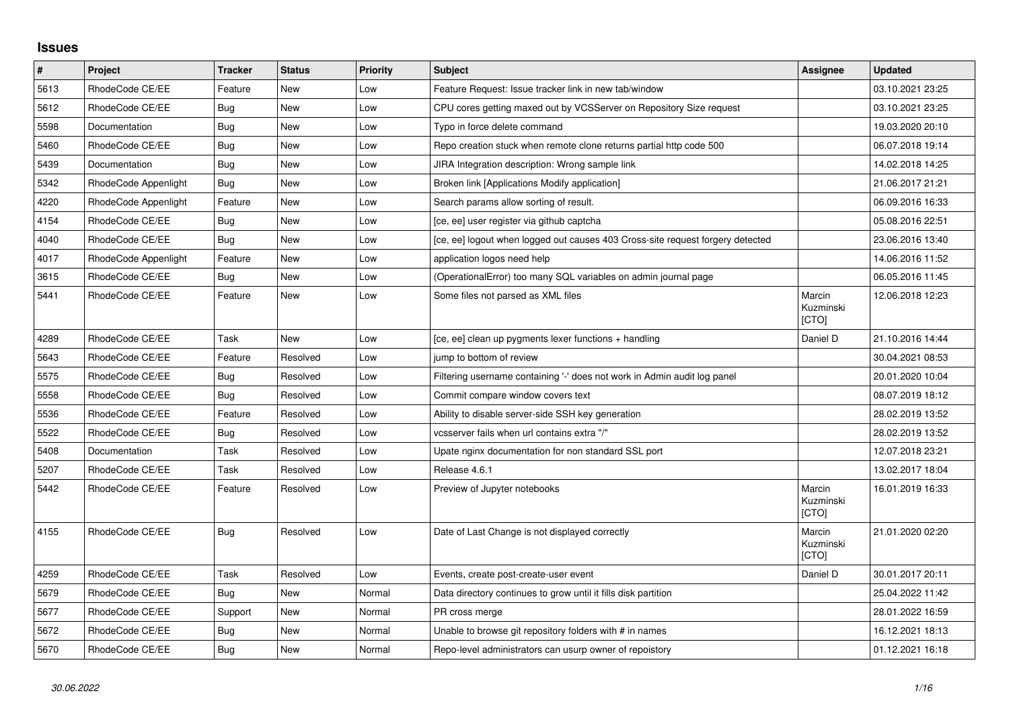## **Issues**

| $\pmb{\#}$ | Project              | <b>Tracker</b> | <b>Status</b> | <b>Priority</b> | <b>Subject</b>                                                                 | Assignee                     | <b>Updated</b>   |
|------------|----------------------|----------------|---------------|-----------------|--------------------------------------------------------------------------------|------------------------------|------------------|
| 5613       | RhodeCode CE/EE      | Feature        | New           | Low             | Feature Request: Issue tracker link in new tab/window                          |                              | 03.10.2021 23:25 |
| 5612       | RhodeCode CE/EE      | Bug            | New           | Low             | CPU cores getting maxed out by VCSServer on Repository Size request            |                              | 03.10.2021 23:25 |
| 5598       | Documentation        | Bug            | New           | Low             | Typo in force delete command                                                   |                              | 19.03.2020 20:10 |
| 5460       | RhodeCode CE/EE      | <b>Bug</b>     | New           | Low             | Repo creation stuck when remote clone returns partial http code 500            |                              | 06.07.2018 19:14 |
| 5439       | Documentation        | Bug            | <b>New</b>    | Low             | JIRA Integration description: Wrong sample link                                |                              | 14.02.2018 14:25 |
| 5342       | RhodeCode Appenlight | Bug            | <b>New</b>    | Low             | Broken link [Applications Modify application]                                  |                              | 21.06.2017 21:21 |
| 4220       | RhodeCode Appenlight | Feature        | <b>New</b>    | Low             | Search params allow sorting of result.                                         |                              | 06.09.2016 16:33 |
| 4154       | RhodeCode CE/EE      | Bug            | New           | Low             | [ce, ee] user register via github captcha                                      |                              | 05.08.2016 22:51 |
| 4040       | RhodeCode CE/EE      | Bug            | <b>New</b>    | Low             | [ce, ee] logout when logged out causes 403 Cross-site request forgery detected |                              | 23.06.2016 13:40 |
| 4017       | RhodeCode Appenlight | Feature        | <b>New</b>    | Low             | application logos need help                                                    |                              | 14.06.2016 11:52 |
| 3615       | RhodeCode CE/EE      | Bug            | New           | Low             | (OperationalError) too many SQL variables on admin journal page                |                              | 06.05.2016 11:45 |
| 5441       | RhodeCode CE/EE      | Feature        | New           | Low             | Some files not parsed as XML files                                             | Marcin<br>Kuzminski<br>[CTO] | 12.06.2018 12:23 |
| 4289       | RhodeCode CE/EE      | Task           | <b>New</b>    | Low             | [ce, ee] clean up pygments lexer functions + handling                          | Daniel D                     | 21.10.2016 14:44 |
| 5643       | RhodeCode CE/EE      | Feature        | Resolved      | Low             | jump to bottom of review                                                       |                              | 30.04.2021 08:53 |
| 5575       | RhodeCode CE/EE      | Bug            | Resolved      | Low             | Filtering username containing '-' does not work in Admin audit log panel       |                              | 20.01.2020 10:04 |
| 5558       | RhodeCode CE/EE      | Bug            | Resolved      | Low             | Commit compare window covers text                                              |                              | 08.07.2019 18:12 |
| 5536       | RhodeCode CE/EE      | Feature        | Resolved      | Low             | Ability to disable server-side SSH key generation                              |                              | 28.02.2019 13:52 |
| 5522       | RhodeCode CE/EE      | Bug            | Resolved      | Low             | vcsserver fails when url contains extra "/"                                    |                              | 28.02.2019 13:52 |
| 5408       | Documentation        | Task           | Resolved      | Low             | Upate nginx documentation for non standard SSL port                            |                              | 12.07.2018 23:21 |
| 5207       | RhodeCode CE/EE      | Task           | Resolved      | Low             | Release 4.6.1                                                                  |                              | 13.02.2017 18:04 |
| 5442       | RhodeCode CE/EE      | Feature        | Resolved      | Low             | Preview of Jupyter notebooks                                                   | Marcin<br>Kuzminski<br>[CTO] | 16.01.2019 16:33 |
| 4155       | RhodeCode CE/EE      | Bug            | Resolved      | Low             | Date of Last Change is not displayed correctly                                 | Marcin<br>Kuzminski<br>[CTO] | 21.01.2020 02:20 |
| 4259       | RhodeCode CE/EE      | Task           | Resolved      | Low             | Events, create post-create-user event                                          | Daniel D                     | 30.01.2017 20:11 |
| 5679       | RhodeCode CE/EE      | Bug            | <b>New</b>    | Normal          | Data directory continues to grow until it fills disk partition                 |                              | 25.04.2022 11:42 |
| 5677       | RhodeCode CE/EE      | Support        | <b>New</b>    | Normal          | PR cross merge                                                                 |                              | 28.01.2022 16:59 |
| 5672       | RhodeCode CE/EE      | Bug            | New           | Normal          | Unable to browse git repository folders with # in names                        |                              | 16.12.2021 18:13 |
| 5670       | RhodeCode CE/EE      | Bug            | <b>New</b>    | Normal          | Repo-level administrators can usurp owner of repoistory                        |                              | 01.12.2021 16:18 |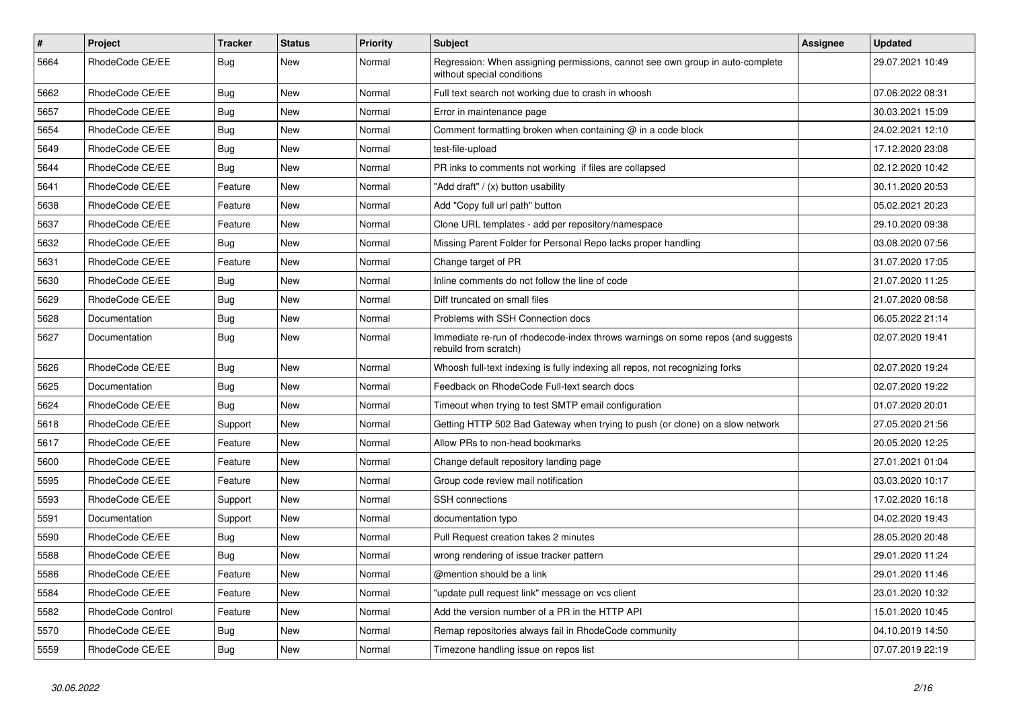| $\sharp$ | <b>Project</b>    | <b>Tracker</b> | <b>Status</b> | <b>Priority</b> | <b>Subject</b>                                                                                              | <b>Assignee</b> | <b>Updated</b>   |
|----------|-------------------|----------------|---------------|-----------------|-------------------------------------------------------------------------------------------------------------|-----------------|------------------|
| 5664     | RhodeCode CE/EE   | Bug            | New           | Normal          | Regression: When assigning permissions, cannot see own group in auto-complete<br>without special conditions |                 | 29.07.2021 10:49 |
| 5662     | RhodeCode CE/EE   | Bug            | <b>New</b>    | Normal          | Full text search not working due to crash in whoosh                                                         |                 | 07.06.2022 08:31 |
| 5657     | RhodeCode CE/EE   | Bug            | <b>New</b>    | Normal          | Error in maintenance page                                                                                   |                 | 30.03.2021 15:09 |
| 5654     | RhodeCode CE/EE   | Bug            | <b>New</b>    | Normal          | Comment formatting broken when containing $@$ in a code block                                               |                 | 24.02.2021 12:10 |
| 5649     | RhodeCode CE/EE   | <b>Bug</b>     | <b>New</b>    | Normal          | test-file-upload                                                                                            |                 | 17.12.2020 23:08 |
| 5644     | RhodeCode CE/EE   | Bug            | New           | Normal          | PR inks to comments not working if files are collapsed                                                      |                 | 02.12.2020 10:42 |
| 5641     | RhodeCode CE/EE   | Feature        | <b>New</b>    | Normal          | 'Add draft" / (x) button usability                                                                          |                 | 30.11.2020 20:53 |
| 5638     | RhodeCode CE/EE   | Feature        | <b>New</b>    | Normal          | Add "Copy full url path" button                                                                             |                 | 05.02.2021 20:23 |
| 5637     | RhodeCode CE/EE   | Feature        | <b>New</b>    | Normal          | Clone URL templates - add per repository/namespace                                                          |                 | 29.10.2020 09:38 |
| 5632     | RhodeCode CE/EE   | Bug            | New           | Normal          | Missing Parent Folder for Personal Repo lacks proper handling                                               |                 | 03.08.2020 07:56 |
| 5631     | RhodeCode CE/EE   | Feature        | <b>New</b>    | Normal          | Change target of PR                                                                                         |                 | 31.07.2020 17:05 |
| 5630     | RhodeCode CE/EE   | <b>Bug</b>     | <b>New</b>    | Normal          | Inline comments do not follow the line of code                                                              |                 | 21.07.2020 11:25 |
| 5629     | RhodeCode CE/EE   | Bug            | <b>New</b>    | Normal          | Diff truncated on small files                                                                               |                 | 21.07.2020 08:58 |
| 5628     | Documentation     | Bug            | New           | Normal          | Problems with SSH Connection docs                                                                           |                 | 06.05.2022 21:14 |
| 5627     | Documentation     | <b>Bug</b>     | New           | Normal          | Immediate re-run of rhodecode-index throws warnings on some repos (and suggests<br>rebuild from scratch)    |                 | 02.07.2020 19:41 |
| 5626     | RhodeCode CE/EE   | Bug            | New           | Normal          | Whoosh full-text indexing is fully indexing all repos, not recognizing forks                                |                 | 02.07.2020 19:24 |
| 5625     | Documentation     | Bug            | New           | Normal          | Feedback on RhodeCode Full-text search docs                                                                 |                 | 02.07.2020 19:22 |
| 5624     | RhodeCode CE/EE   | <b>Bug</b>     | New           | Normal          | Timeout when trying to test SMTP email configuration                                                        |                 | 01.07.2020 20:01 |
| 5618     | RhodeCode CE/EE   | Support        | New           | Normal          | Getting HTTP 502 Bad Gateway when trying to push (or clone) on a slow network                               |                 | 27.05.2020 21:56 |
| 5617     | RhodeCode CE/EE   | Feature        | New           | Normal          | Allow PRs to non-head bookmarks                                                                             |                 | 20.05.2020 12:25 |
| 5600     | RhodeCode CE/EE   | Feature        | New           | Normal          | Change default repository landing page                                                                      |                 | 27.01.2021 01:04 |
| 5595     | RhodeCode CE/EE   | Feature        | <b>New</b>    | Normal          | Group code review mail notification                                                                         |                 | 03.03.2020 10:17 |
| 5593     | RhodeCode CE/EE   | Support        | New           | Normal          | <b>SSH</b> connections                                                                                      |                 | 17.02.2020 16:18 |
| 5591     | Documentation     | Support        | New           | Normal          | documentation typo                                                                                          |                 | 04.02.2020 19:43 |
| 5590     | RhodeCode CE/EE   | Bug            | New           | Normal          | Pull Request creation takes 2 minutes                                                                       |                 | 28.05.2020 20:48 |
| 5588     | RhodeCode CE/EE   | Bug            | <b>New</b>    | Normal          | wrong rendering of issue tracker pattern                                                                    |                 | 29.01.2020 11:24 |
| 5586     | RhodeCode CE/EE   | Feature        | <b>New</b>    | Normal          | @mention should be a link                                                                                   |                 | 29.01.2020 11:46 |
| 5584     | RhodeCode CE/EE   | Feature        | <b>New</b>    | Normal          | 'update pull request link" message on vcs client                                                            |                 | 23.01.2020 10:32 |
| 5582     | RhodeCode Control | Feature        | <b>New</b>    | Normal          | Add the version number of a PR in the HTTP API                                                              |                 | 15.01.2020 10:45 |
| 5570     | RhodeCode CE/EE   | <b>Bug</b>     | <b>New</b>    | Normal          | Remap repositories always fail in RhodeCode community                                                       |                 | 04.10.2019 14:50 |
| 5559     | RhodeCode CE/EE   | Bug            | <b>New</b>    | Normal          | Timezone handling issue on repos list                                                                       |                 | 07.07.2019 22:19 |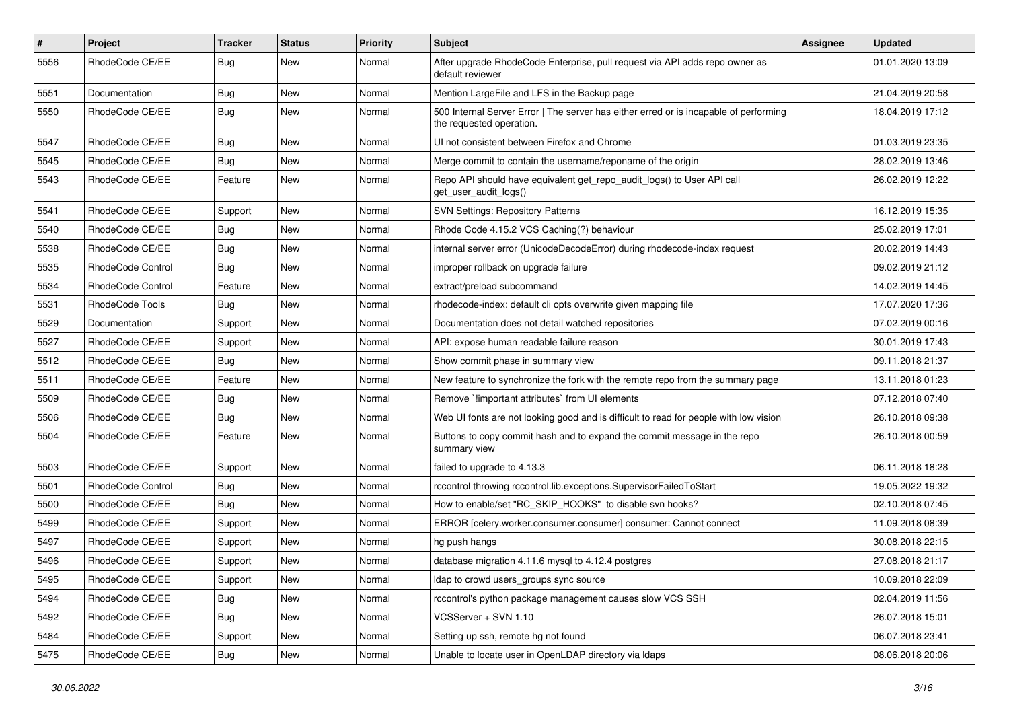| $\sharp$ | Project           | Tracker    | <b>Status</b> | <b>Priority</b> | Subject                                                                                                           | Assignee | <b>Updated</b>   |
|----------|-------------------|------------|---------------|-----------------|-------------------------------------------------------------------------------------------------------------------|----------|------------------|
| 5556     | RhodeCode CE/EE   | <b>Bug</b> | New           | Normal          | After upgrade RhodeCode Enterprise, pull request via API adds repo owner as<br>default reviewer                   |          | 01.01.2020 13:09 |
| 5551     | Documentation     | <b>Bug</b> | New           | Normal          | Mention LargeFile and LFS in the Backup page                                                                      |          | 21.04.2019 20:58 |
| 5550     | RhodeCode CE/EE   | Bug        | New           | Normal          | 500 Internal Server Error   The server has either erred or is incapable of performing<br>the requested operation. |          | 18.04.2019 17:12 |
| 5547     | RhodeCode CE/EE   | Bug        | New           | Normal          | UI not consistent between Firefox and Chrome                                                                      |          | 01.03.2019 23:35 |
| 5545     | RhodeCode CE/EE   | <b>Bug</b> | New           | Normal          | Merge commit to contain the username/reponame of the origin                                                       |          | 28.02.2019 13:46 |
| 5543     | RhodeCode CE/EE   | Feature    | New           | Normal          | Repo API should have equivalent get_repo_audit_logs() to User API call<br>get_user_audit_logs()                   |          | 26.02.2019 12:22 |
| 5541     | RhodeCode CE/EE   | Support    | <b>New</b>    | Normal          | <b>SVN Settings: Repository Patterns</b>                                                                          |          | 16.12.2019 15:35 |
| 5540     | RhodeCode CE/EE   | <b>Bug</b> | New           | Normal          | Rhode Code 4.15.2 VCS Caching(?) behaviour                                                                        |          | 25.02.2019 17:01 |
| 5538     | RhodeCode CE/EE   | Bug        | New           | Normal          | internal server error (UnicodeDecodeError) during rhodecode-index request                                         |          | 20.02.2019 14:43 |
| 5535     | RhodeCode Control | <b>Bug</b> | New           | Normal          | improper rollback on upgrade failure                                                                              |          | 09.02.2019 21:12 |
| 5534     | RhodeCode Control | Feature    | New           | Normal          | extract/preload subcommand                                                                                        |          | 14.02.2019 14:45 |
| 5531     | RhodeCode Tools   | <b>Bug</b> | <b>New</b>    | Normal          | rhodecode-index: default cli opts overwrite given mapping file                                                    |          | 17.07.2020 17:36 |
| 5529     | Documentation     | Support    | New           | Normal          | Documentation does not detail watched repositories                                                                |          | 07.02.2019 00:16 |
| 5527     | RhodeCode CE/EE   | Support    | New           | Normal          | API: expose human readable failure reason                                                                         |          | 30.01.2019 17:43 |
| 5512     | RhodeCode CE/EE   | Bug        | <b>New</b>    | Normal          | Show commit phase in summary view                                                                                 |          | 09.11.2018 21:37 |
| 5511     | RhodeCode CE/EE   | Feature    | New           | Normal          | New feature to synchronize the fork with the remote repo from the summary page                                    |          | 13.11.2018 01:23 |
| 5509     | RhodeCode CE/EE   | <b>Bug</b> | New           | Normal          | Remove `limportant attributes` from UI elements                                                                   |          | 07.12.2018 07:40 |
| 5506     | RhodeCode CE/EE   | Bug        | New           | Normal          | Web UI fonts are not looking good and is difficult to read for people with low vision                             |          | 26.10.2018 09:38 |
| 5504     | RhodeCode CE/EE   | Feature    | New           | Normal          | Buttons to copy commit hash and to expand the commit message in the repo<br>summary view                          |          | 26.10.2018 00:59 |
| 5503     | RhodeCode CE/EE   | Support    | <b>New</b>    | Normal          | failed to upgrade to 4.13.3                                                                                       |          | 06.11.2018 18:28 |
| 5501     | RhodeCode Control | <b>Bug</b> | New           | Normal          | rccontrol throwing rccontrol.lib.exceptions.SupervisorFailedToStart                                               |          | 19.05.2022 19:32 |
| 5500     | RhodeCode CE/EE   | Bug        | New           | Normal          | How to enable/set "RC_SKIP_HOOKS" to disable svn hooks?                                                           |          | 02.10.2018 07:45 |
| 5499     | RhodeCode CE/EE   | Support    | New           | Normal          | ERROR [celery.worker.consumer.consumer] consumer: Cannot connect                                                  |          | 11.09.2018 08:39 |
| 5497     | RhodeCode CE/EE   | Support    | New           | Normal          | hg push hangs                                                                                                     |          | 30.08.2018 22:15 |
| 5496     | RhodeCode CE/EE   | Support    | New           | Normal          | database migration 4.11.6 mysql to 4.12.4 postgres                                                                |          | 27.08.2018 21:17 |
| 5495     | RhodeCode CE/EE   | Support    | New           | Normal          | Idap to crowd users_groups sync source                                                                            |          | 10.09.2018 22:09 |
| 5494     | RhodeCode CE/EE   | Bug        | New           | Normal          | rccontrol's python package management causes slow VCS SSH                                                         |          | 02.04.2019 11:56 |
| 5492     | RhodeCode CE/EE   | <b>Bug</b> | New           | Normal          | VCSServer + SVN 1.10                                                                                              |          | 26.07.2018 15:01 |
| 5484     | RhodeCode CE/EE   | Support    | New           | Normal          | Setting up ssh, remote hg not found                                                                               |          | 06.07.2018 23:41 |
| 5475     | RhodeCode CE/EE   | Bug        | New           | Normal          | Unable to locate user in OpenLDAP directory via Idaps                                                             |          | 08.06.2018 20:06 |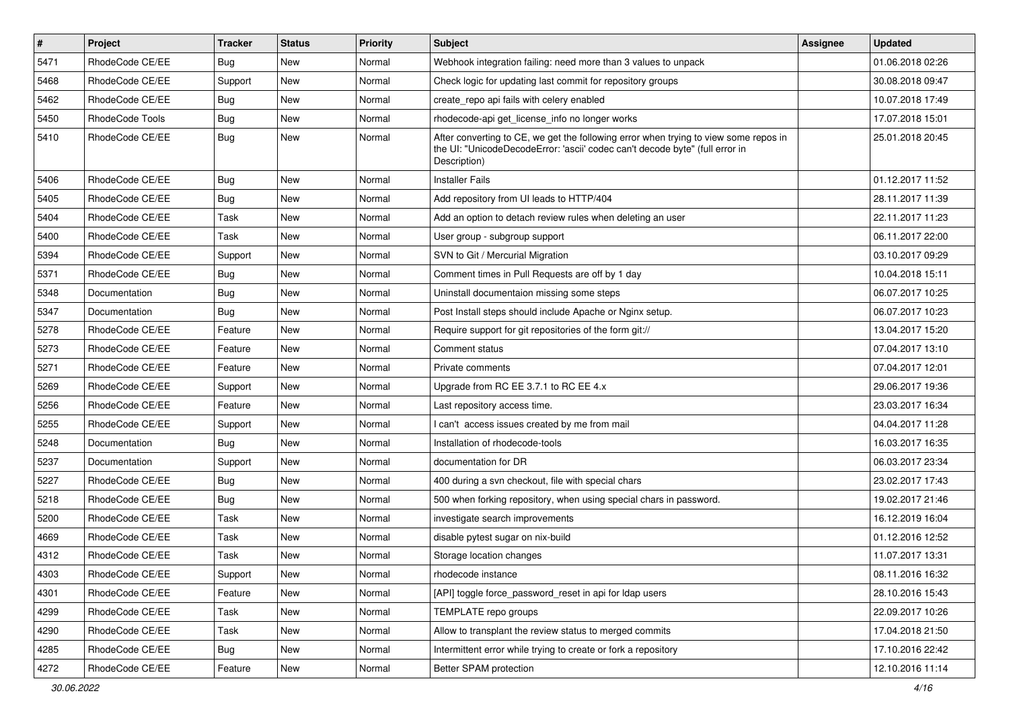| $\pmb{\#}$ | Project         | <b>Tracker</b> | <b>Status</b> | <b>Priority</b> | <b>Subject</b>                                                                                                                                                                       | Assignee | <b>Updated</b>   |
|------------|-----------------|----------------|---------------|-----------------|--------------------------------------------------------------------------------------------------------------------------------------------------------------------------------------|----------|------------------|
| 5471       | RhodeCode CE/EE | Bug            | New           | Normal          | Webhook integration failing: need more than 3 values to unpack                                                                                                                       |          | 01.06.2018 02:26 |
| 5468       | RhodeCode CE/EE | Support        | <b>New</b>    | Normal          | Check logic for updating last commit for repository groups                                                                                                                           |          | 30.08.2018 09:47 |
| 5462       | RhodeCode CE/EE | Bug            | New           | Normal          | create repo api fails with celery enabled                                                                                                                                            |          | 10.07.2018 17:49 |
| 5450       | RhodeCode Tools | Bug            | New           | Normal          | rhodecode-api get_license_info no longer works                                                                                                                                       |          | 17.07.2018 15:01 |
| 5410       | RhodeCode CE/EE | <b>Bug</b>     | <b>New</b>    | Normal          | After converting to CE, we get the following error when trying to view some repos in<br>the UI: "UnicodeDecodeError: 'ascii' codec can't decode byte" (full error in<br>Description) |          | 25.01.2018 20:45 |
| 5406       | RhodeCode CE/EE | Bug            | New           | Normal          | <b>Installer Fails</b>                                                                                                                                                               |          | 01.12.2017 11:52 |
| 5405       | RhodeCode CE/EE | <b>Bug</b>     | <b>New</b>    | Normal          | Add repository from UI leads to HTTP/404                                                                                                                                             |          | 28.11.2017 11:39 |
| 5404       | RhodeCode CE/EE | Task           | New           | Normal          | Add an option to detach review rules when deleting an user                                                                                                                           |          | 22.11.2017 11:23 |
| 5400       | RhodeCode CE/EE | Task           | New           | Normal          | User group - subgroup support                                                                                                                                                        |          | 06.11.2017 22:00 |
| 5394       | RhodeCode CE/EE | Support        | New           | Normal          | SVN to Git / Mercurial Migration                                                                                                                                                     |          | 03.10.2017 09:29 |
| 5371       | RhodeCode CE/EE | Bug            | <b>New</b>    | Normal          | Comment times in Pull Requests are off by 1 day                                                                                                                                      |          | 10.04.2018 15:11 |
| 5348       | Documentation   | <b>Bug</b>     | New           | Normal          | Uninstall documentaion missing some steps                                                                                                                                            |          | 06.07.2017 10:25 |
| 5347       | Documentation   | Bug            | <b>New</b>    | Normal          | Post Install steps should include Apache or Nginx setup.                                                                                                                             |          | 06.07.2017 10:23 |
| 5278       | RhodeCode CE/EE | Feature        | New           | Normal          | Require support for git repositories of the form git://                                                                                                                              |          | 13.04.2017 15:20 |
| 5273       | RhodeCode CE/EE | Feature        | New           | Normal          | Comment status                                                                                                                                                                       |          | 07.04.2017 13:10 |
| 5271       | RhodeCode CE/EE | Feature        | <b>New</b>    | Normal          | Private comments                                                                                                                                                                     |          | 07.04.2017 12:01 |
| 5269       | RhodeCode CE/EE | Support        | New           | Normal          | Upgrade from RC EE 3.7.1 to RC EE 4.x                                                                                                                                                |          | 29.06.2017 19:36 |
| 5256       | RhodeCode CE/EE | Feature        | New           | Normal          | Last repository access time.                                                                                                                                                         |          | 23.03.2017 16:34 |
| 5255       | RhodeCode CE/EE | Support        | New           | Normal          | I can't access issues created by me from mail                                                                                                                                        |          | 04.04.2017 11:28 |
| 5248       | Documentation   | Bug            | New           | Normal          | Installation of rhodecode-tools                                                                                                                                                      |          | 16.03.2017 16:35 |
| 5237       | Documentation   | Support        | <b>New</b>    | Normal          | documentation for DR                                                                                                                                                                 |          | 06.03.2017 23:34 |
| 5227       | RhodeCode CE/EE | <b>Bug</b>     | New           | Normal          | 400 during a svn checkout, file with special chars                                                                                                                                   |          | 23.02.2017 17:43 |
| 5218       | RhodeCode CE/EE | Bug            | New           | Normal          | 500 when forking repository, when using special chars in password.                                                                                                                   |          | 19.02.2017 21:46 |
| 5200       | RhodeCode CE/EE | <b>Task</b>    | <b>New</b>    | Normal          | investigate search improvements                                                                                                                                                      |          | 16.12.2019 16:04 |
| 4669       | RhodeCode CE/EE | Task           | New           | Normal          | disable pytest sugar on nix-build                                                                                                                                                    |          | 01.12.2016 12:52 |
| 4312       | RhodeCode CE/EE | Task           | <b>New</b>    | Normal          | Storage location changes                                                                                                                                                             |          | 11.07.2017 13:31 |
| 4303       | RhodeCode CE/EE | Support        | New           | Normal          | rhodecode instance                                                                                                                                                                   |          | 08.11.2016 16:32 |
| 4301       | RhodeCode CE/EE | Feature        | <b>New</b>    | Normal          | [API] toggle force_password_reset in api for Idap users                                                                                                                              |          | 28.10.2016 15:43 |
| 4299       | RhodeCode CE/EE | Task           | New           | Normal          | TEMPLATE repo groups                                                                                                                                                                 |          | 22.09.2017 10:26 |
| 4290       | RhodeCode CE/EE | Task           | New           | Normal          | Allow to transplant the review status to merged commits                                                                                                                              |          | 17.04.2018 21:50 |
| 4285       | RhodeCode CE/EE | Bug            | New           | Normal          | Intermittent error while trying to create or fork a repository                                                                                                                       |          | 17.10.2016 22:42 |
| 4272       | RhodeCode CE/EE | Feature        | New           | Normal          | Better SPAM protection                                                                                                                                                               |          | 12.10.2016 11:14 |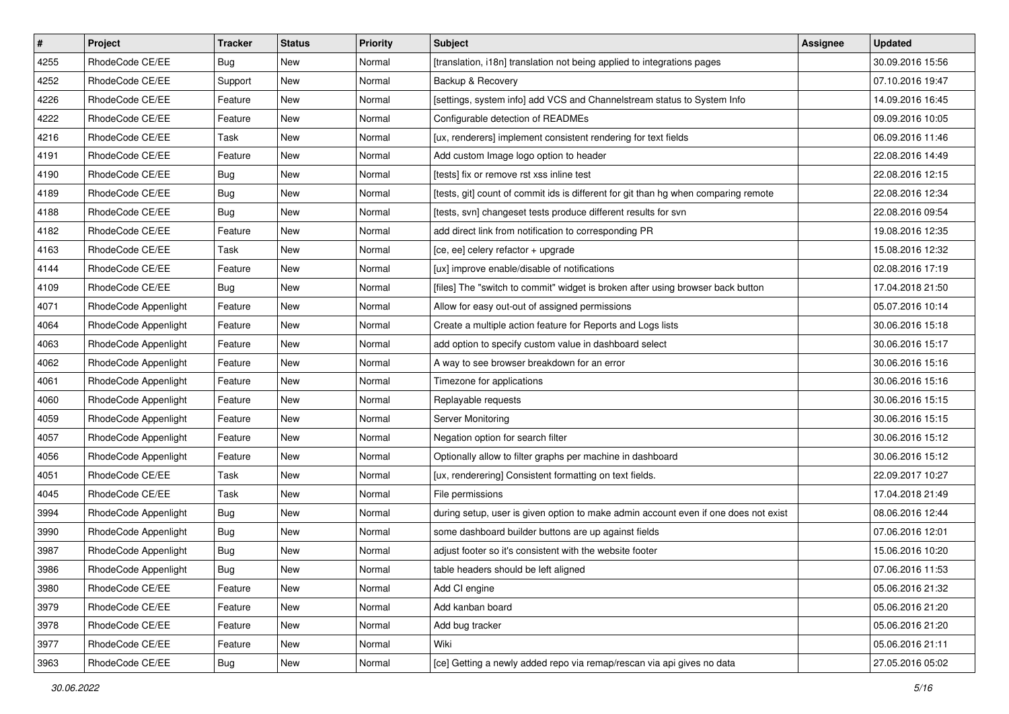| $\pmb{\#}$ | Project              | <b>Tracker</b> | <b>Status</b> | Priority | <b>Subject</b>                                                                      | Assignee | <b>Updated</b>   |
|------------|----------------------|----------------|---------------|----------|-------------------------------------------------------------------------------------|----------|------------------|
| 4255       | RhodeCode CE/EE      | Bug            | New           | Normal   | [translation, i18n] translation not being applied to integrations pages             |          | 30.09.2016 15:56 |
| 4252       | RhodeCode CE/EE      | Support        | New           | Normal   | Backup & Recovery                                                                   |          | 07.10.2016 19:47 |
| 4226       | RhodeCode CE/EE      | Feature        | New           | Normal   | [settings, system info] add VCS and Channelstream status to System Info             |          | 14.09.2016 16:45 |
| 4222       | RhodeCode CE/EE      | Feature        | New           | Normal   | Configurable detection of READMEs                                                   |          | 09.09.2016 10:05 |
| 4216       | RhodeCode CE/EE      | Task           | <b>New</b>    | Normal   | [ux, renderers] implement consistent rendering for text fields                      |          | 06.09.2016 11:46 |
| 4191       | RhodeCode CE/EE      | Feature        | New           | Normal   | Add custom Image logo option to header                                              |          | 22.08.2016 14:49 |
| 4190       | RhodeCode CE/EE      | Bug            | New           | Normal   | [tests] fix or remove rst xss inline test                                           |          | 22.08.2016 12:15 |
| 4189       | RhodeCode CE/EE      | Bug            | New           | Normal   | [tests, git] count of commit ids is different for git than hg when comparing remote |          | 22.08.2016 12:34 |
| 4188       | RhodeCode CE/EE      | <b>Bug</b>     | New           | Normal   | [tests, svn] changeset tests produce different results for svn                      |          | 22.08.2016 09:54 |
| 4182       | RhodeCode CE/EE      | Feature        | New           | Normal   | add direct link from notification to corresponding PR                               |          | 19.08.2016 12:35 |
| 4163       | RhodeCode CE/EE      | Task           | New           | Normal   | [ce, ee] celery refactor + upgrade                                                  |          | 15.08.2016 12:32 |
| 4144       | RhodeCode CE/EE      | Feature        | New           | Normal   | [ux] improve enable/disable of notifications                                        |          | 02.08.2016 17:19 |
| 4109       | RhodeCode CE/EE      | Bug            | New           | Normal   | [files] The "switch to commit" widget is broken after using browser back button     |          | 17.04.2018 21:50 |
| 4071       | RhodeCode Appenlight | Feature        | New           | Normal   | Allow for easy out-out of assigned permissions                                      |          | 05.07.2016 10:14 |
| 4064       | RhodeCode Appenlight | Feature        | New           | Normal   | Create a multiple action feature for Reports and Logs lists                         |          | 30.06.2016 15:18 |
| 4063       | RhodeCode Appenlight | Feature        | New           | Normal   | add option to specify custom value in dashboard select                              |          | 30.06.2016 15:17 |
| 4062       | RhodeCode Appenlight | Feature        | New           | Normal   | A way to see browser breakdown for an error                                         |          | 30.06.2016 15:16 |
| 4061       | RhodeCode Appenlight | Feature        | <b>New</b>    | Normal   | Timezone for applications                                                           |          | 30.06.2016 15:16 |
| 4060       | RhodeCode Appenlight | Feature        | New           | Normal   | Replayable requests                                                                 |          | 30.06.2016 15:15 |
| 4059       | RhodeCode Appenlight | Feature        | New           | Normal   | Server Monitoring                                                                   |          | 30.06.2016 15:15 |
| 4057       | RhodeCode Appenlight | Feature        | New           | Normal   | Negation option for search filter                                                   |          | 30.06.2016 15:12 |
| 4056       | RhodeCode Appenlight | Feature        | New           | Normal   | Optionally allow to filter graphs per machine in dashboard                          |          | 30.06.2016 15:12 |
| 4051       | RhodeCode CE/EE      | Task           | <b>New</b>    | Normal   | [ux, renderering] Consistent formatting on text fields.                             |          | 22.09.2017 10:27 |
| 4045       | RhodeCode CE/EE      | Task           | New           | Normal   | File permissions                                                                    |          | 17.04.2018 21:49 |
| 3994       | RhodeCode Appenlight | Bug            | New           | Normal   | during setup, user is given option to make admin account even if one does not exist |          | 08.06.2016 12:44 |
| 3990       | RhodeCode Appenlight | Bug            | New           | Normal   | some dashboard builder buttons are up against fields                                |          | 07.06.2016 12:01 |
| 3987       | RhodeCode Appenlight | Bug            | New           | Normal   | adjust footer so it's consistent with the website footer                            |          | 15.06.2016 10:20 |
| 3986       | RhodeCode Appenlight | <b>Bug</b>     | New           | Normal   | table headers should be left aligned                                                |          | 07.06.2016 11:53 |
| 3980       | RhodeCode CE/EE      | Feature        | New           | Normal   | Add CI engine                                                                       |          | 05.06.2016 21:32 |
| 3979       | RhodeCode CE/EE      | Feature        | New           | Normal   | Add kanban board                                                                    |          | 05.06.2016 21:20 |
| 3978       | RhodeCode CE/EE      | Feature        | New           | Normal   | Add bug tracker                                                                     |          | 05.06.2016 21:20 |
| 3977       | RhodeCode CE/EE      | Feature        | New           | Normal   | Wiki                                                                                |          | 05.06.2016 21:11 |
| 3963       | RhodeCode CE/EE      | Bug            | New           | Normal   | [ce] Getting a newly added repo via remap/rescan via api gives no data              |          | 27.05.2016 05:02 |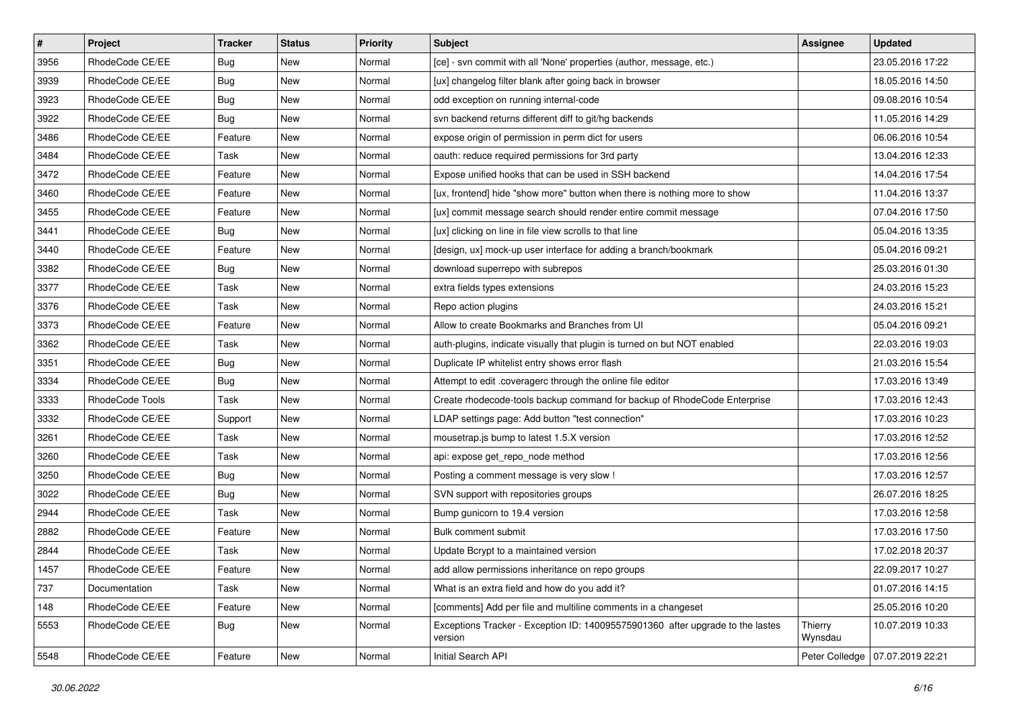| $\sharp$ | Project         | <b>Tracker</b> | <b>Status</b> | Priority | <b>Subject</b>                                                                            | <b>Assignee</b>    | <b>Updated</b>   |
|----------|-----------------|----------------|---------------|----------|-------------------------------------------------------------------------------------------|--------------------|------------------|
| 3956     | RhodeCode CE/EE | Bug            | New           | Normal   | [ce] - svn commit with all 'None' properties (author, message, etc.)                      |                    | 23.05.2016 17:22 |
| 3939     | RhodeCode CE/EE | <b>Bug</b>     | New           | Normal   | [ux] changelog filter blank after going back in browser                                   |                    | 18.05.2016 14:50 |
| 3923     | RhodeCode CE/EE | Bug            | New           | Normal   | odd exception on running internal-code                                                    |                    | 09.08.2016 10:54 |
| 3922     | RhodeCode CE/EE | Bug            | <b>New</b>    | Normal   | svn backend returns different diff to git/hg backends                                     |                    | 11.05.2016 14:29 |
| 3486     | RhodeCode CE/EE | Feature        | <b>New</b>    | Normal   | expose origin of permission in perm dict for users                                        |                    | 06.06.2016 10:54 |
| 3484     | RhodeCode CE/EE | Task           | New           | Normal   | oauth: reduce required permissions for 3rd party                                          |                    | 13.04.2016 12:33 |
| 3472     | RhodeCode CE/EE | Feature        | New           | Normal   | Expose unified hooks that can be used in SSH backend                                      |                    | 14.04.2016 17:54 |
| 3460     | RhodeCode CE/EE | Feature        | New           | Normal   | [ux, frontend] hide "show more" button when there is nothing more to show                 |                    | 11.04.2016 13:37 |
| 3455     | RhodeCode CE/EE | Feature        | New           | Normal   | [ux] commit message search should render entire commit message                            |                    | 07.04.2016 17:50 |
| 3441     | RhodeCode CE/EE | Bug            | <b>New</b>    | Normal   | [ux] clicking on line in file view scrolls to that line                                   |                    | 05.04.2016 13:35 |
| 3440     | RhodeCode CE/EE | Feature        | New           | Normal   | [design, ux] mock-up user interface for adding a branch/bookmark                          |                    | 05.04.2016 09:21 |
| 3382     | RhodeCode CE/EE | Bug            | New           | Normal   | download superrepo with subrepos                                                          |                    | 25.03.2016 01:30 |
| 3377     | RhodeCode CE/EE | Task           | New           | Normal   | extra fields types extensions                                                             |                    | 24.03.2016 15:23 |
| 3376     | RhodeCode CE/EE | Task           | New           | Normal   | Repo action plugins                                                                       |                    | 24.03.2016 15:21 |
| 3373     | RhodeCode CE/EE | Feature        | New           | Normal   | Allow to create Bookmarks and Branches from UI                                            |                    | 05.04.2016 09:21 |
| 3362     | RhodeCode CE/EE | Task           | New           | Normal   | auth-plugins, indicate visually that plugin is turned on but NOT enabled                  |                    | 22.03.2016 19:03 |
| 3351     | RhodeCode CE/EE | Bug            | New           | Normal   | Duplicate IP whitelist entry shows error flash                                            |                    | 21.03.2016 15:54 |
| 3334     | RhodeCode CE/EE | Bug            | <b>New</b>    | Normal   | Attempt to edit .coveragerc through the online file editor                                |                    | 17.03.2016 13:49 |
| 3333     | RhodeCode Tools | Task           | New           | Normal   | Create rhodecode-tools backup command for backup of RhodeCode Enterprise                  |                    | 17.03.2016 12:43 |
| 3332     | RhodeCode CE/EE | Support        | New           | Normal   | LDAP settings page: Add button "test connection"                                          |                    | 17.03.2016 10:23 |
| 3261     | RhodeCode CE/EE | Task           | New           | Normal   | mousetrap.js bump to latest 1.5.X version                                                 |                    | 17.03.2016 12:52 |
| 3260     | RhodeCode CE/EE | Task           | New           | Normal   | api: expose get_repo_node method                                                          |                    | 17.03.2016 12:56 |
| 3250     | RhodeCode CE/EE | Bug            | <b>New</b>    | Normal   | Posting a comment message is very slow !                                                  |                    | 17.03.2016 12:57 |
| 3022     | RhodeCode CE/EE | Bug            | New           | Normal   | SVN support with repositories groups                                                      |                    | 26.07.2016 18:25 |
| 2944     | RhodeCode CE/EE | Task           | New           | Normal   | Bump gunicorn to 19.4 version                                                             |                    | 17.03.2016 12:58 |
| 2882     | RhodeCode CE/EE | Feature        | New           | Normal   | Bulk comment submit                                                                       |                    | 17.03.2016 17:50 |
| 2844     | RhodeCode CE/EE | Task           | New           | Normal   | Update Bcrypt to a maintained version                                                     |                    | 17.02.2018 20:37 |
| 1457     | RhodeCode CE/EE | Feature        | New           | Normal   | add allow permissions inheritance on repo groups                                          |                    | 22.09.2017 10:27 |
| 737      | Documentation   | Task           | New           | Normal   | What is an extra field and how do you add it?                                             |                    | 01.07.2016 14:15 |
| 148      | RhodeCode CE/EE | Feature        | New           | Normal   | [comments] Add per file and multiline comments in a changeset                             |                    | 25.05.2016 10:20 |
| 5553     | RhodeCode CE/EE | <b>Bug</b>     | New           | Normal   | Exceptions Tracker - Exception ID: 140095575901360 after upgrade to the lastes<br>version | Thierry<br>Wynsdau | 10.07.2019 10:33 |
| 5548     | RhodeCode CE/EE | Feature        | New           | Normal   | Initial Search API                                                                        | Peter Colledge     | 07.07.2019 22:21 |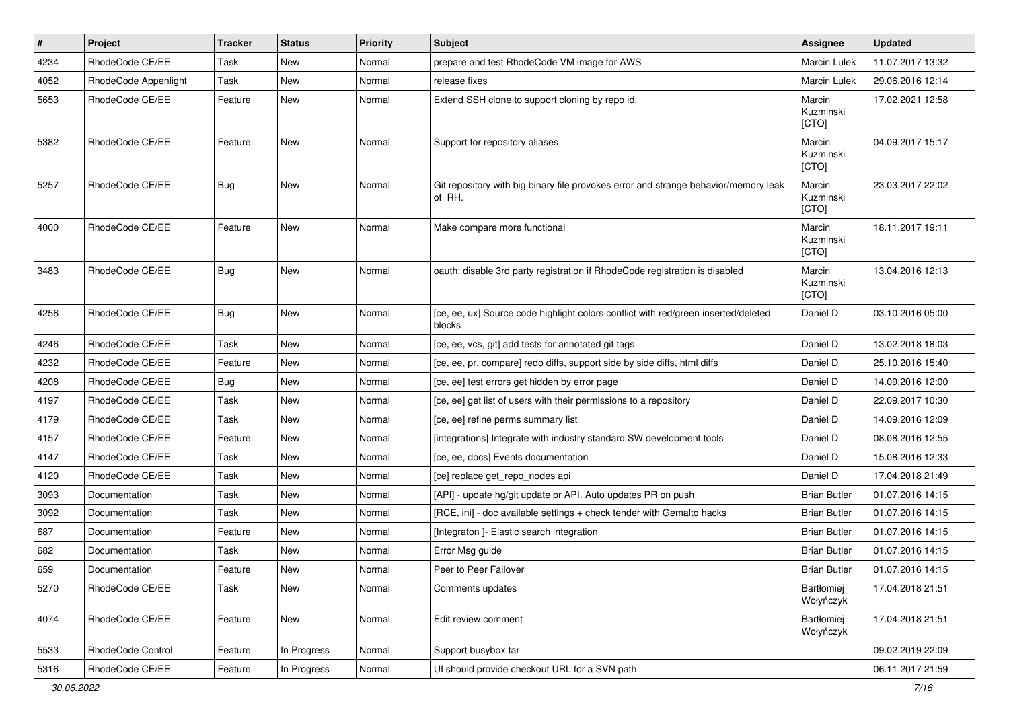| $\pmb{\#}$ | Project              | <b>Tracker</b> | <b>Status</b> | <b>Priority</b> | <b>Subject</b>                                                                                | Assignee                     | <b>Updated</b>   |
|------------|----------------------|----------------|---------------|-----------------|-----------------------------------------------------------------------------------------------|------------------------------|------------------|
| 4234       | RhodeCode CE/EE      | Task           | New           | Normal          | prepare and test RhodeCode VM image for AWS                                                   | Marcin Lulek                 | 11.07.2017 13:32 |
| 4052       | RhodeCode Appenlight | Task           | <b>New</b>    | Normal          | release fixes                                                                                 | Marcin Lulek                 | 29.06.2016 12:14 |
| 5653       | RhodeCode CE/EE      | Feature        | New           | Normal          | Extend SSH clone to support cloning by repo id.                                               | Marcin<br>Kuzminski<br>[CTO] | 17.02.2021 12:58 |
| 5382       | RhodeCode CE/EE      | Feature        | <b>New</b>    | Normal          | Support for repository aliases                                                                | Marcin<br>Kuzminski<br>[CTO] | 04.09.2017 15:17 |
| 5257       | RhodeCode CE/EE      | <b>Bug</b>     | <b>New</b>    | Normal          | Git repository with big binary file provokes error and strange behavior/memory leak<br>of RH. | Marcin<br>Kuzminski<br>[CTO] | 23.03.2017 22:02 |
| 4000       | RhodeCode CE/EE      | Feature        | <b>New</b>    | Normal          | Make compare more functional                                                                  | Marcin<br>Kuzminski<br>[CTO] | 18.11.2017 19:11 |
| 3483       | RhodeCode CE/EE      | <b>Bug</b>     | <b>New</b>    | Normal          | oauth: disable 3rd party registration if RhodeCode registration is disabled                   | Marcin<br>Kuzminski<br>[CTO] | 13.04.2016 12:13 |
| 4256       | RhodeCode CE/EE      | Bug            | <b>New</b>    | Normal          | [ce, ee, ux] Source code highlight colors conflict with red/green inserted/deleted<br>blocks  | Daniel D                     | 03.10.2016 05:00 |
| 4246       | RhodeCode CE/EE      | Task           | New           | Normal          | [ce, ee, vcs, git] add tests for annotated git tags                                           | Daniel D                     | 13.02.2018 18:03 |
| 4232       | RhodeCode CE/EE      | Feature        | New           | Normal          | [ce, ee, pr, compare] redo diffs, support side by side diffs, html diffs                      | Daniel D                     | 25.10.2016 15:40 |
| 4208       | RhodeCode CE/EE      | Bug            | <b>New</b>    | Normal          | [ce, ee] test errors get hidden by error page                                                 | Daniel D                     | 14.09.2016 12:00 |
| 4197       | RhodeCode CE/EE      | Task           | New           | Normal          | [ce, ee] get list of users with their permissions to a repository                             | Daniel D                     | 22.09.2017 10:30 |
| 4179       | RhodeCode CE/EE      | Task           | New           | Normal          | [ce, ee] refine perms summary list                                                            | Daniel D                     | 14.09.2016 12:09 |
| 4157       | RhodeCode CE/EE      | Feature        | New           | Normal          | [integrations] Integrate with industry standard SW development tools                          | Daniel D                     | 08.08.2016 12:55 |
| 4147       | RhodeCode CE/EE      | Task           | New           | Normal          | [ce, ee, docs] Events documentation                                                           | Daniel D                     | 15.08.2016 12:33 |
| 4120       | RhodeCode CE/EE      | Task           | <b>New</b>    | Normal          | [ce] replace get_repo_nodes api                                                               | Daniel D                     | 17.04.2018 21:49 |
| 3093       | Documentation        | Task           | New           | Normal          | [API] - update hg/git update pr API. Auto updates PR on push                                  | <b>Brian Butler</b>          | 01.07.2016 14:15 |
| 3092       | Documentation        | Task           | New           | Normal          | [RCE, ini] - doc available settings + check tender with Gemalto hacks                         | <b>Brian Butler</b>          | 01.07.2016 14:15 |
| 687        | Documentation        | Feature        | New           | Normal          | [Integraton ]- Elastic search integration                                                     | <b>Brian Butler</b>          | 01.07.2016 14:15 |
| 682        | Documentation        | Task           | New           | Normal          | Error Msg guide                                                                               | <b>Brian Butler</b>          | 01.07.2016 14:15 |
| 659        | Documentation        | Feature        | New           | Normal          | Peer to Peer Failover                                                                         | <b>Brian Butler</b>          | 01.07.2016 14:15 |
| 5270       | RhodeCode CE/EE      | Task           | New           | Normal          | Comments updates                                                                              | Bartłomiej<br>Wołyńczyk      | 17.04.2018 21:51 |
| 4074       | RhodeCode CE/EE      | Feature        | New           | Normal          | Edit review comment                                                                           | Bartłomiej<br>Wołyńczyk      | 17.04.2018 21:51 |
| 5533       | RhodeCode Control    | Feature        | In Progress   | Normal          | Support busybox tar                                                                           |                              | 09.02.2019 22:09 |
| 5316       | RhodeCode CE/EE      | Feature        | In Progress   | Normal          | UI should provide checkout URL for a SVN path                                                 |                              | 06.11.2017 21:59 |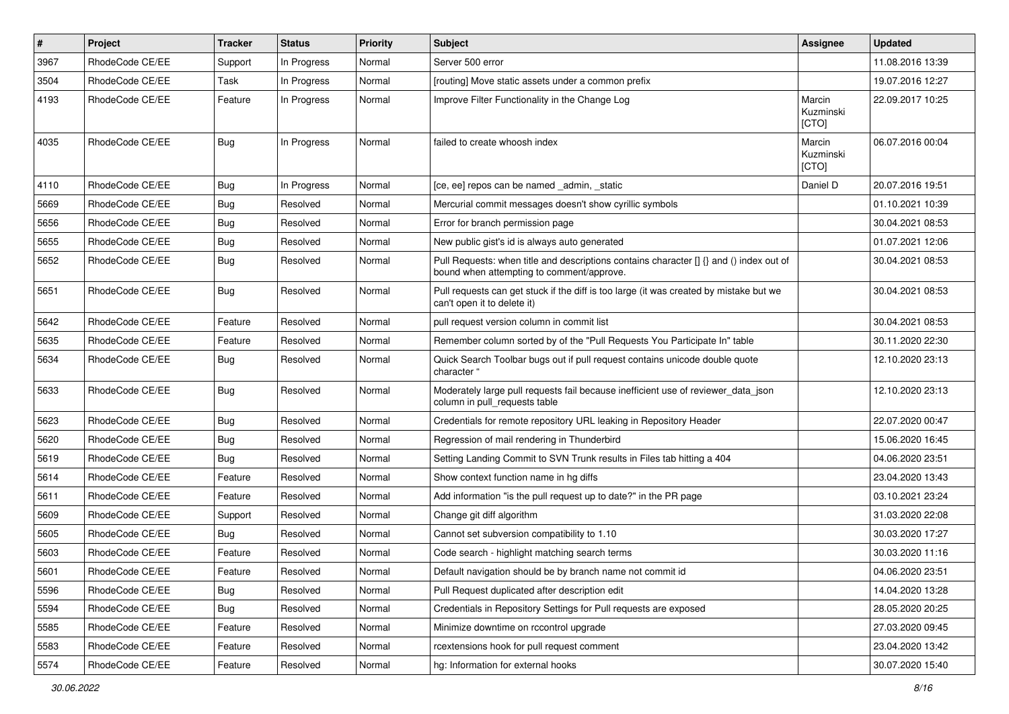| #    | Project         | <b>Tracker</b> | <b>Status</b> | <b>Priority</b> | Subject                                                                                                                              | <b>Assignee</b>              | <b>Updated</b>   |
|------|-----------------|----------------|---------------|-----------------|--------------------------------------------------------------------------------------------------------------------------------------|------------------------------|------------------|
| 3967 | RhodeCode CE/EE | Support        | In Progress   | Normal          | Server 500 error                                                                                                                     |                              | 11.08.2016 13:39 |
| 3504 | RhodeCode CE/EE | Task           | In Progress   | Normal          | [routing] Move static assets under a common prefix                                                                                   |                              | 19.07.2016 12:27 |
| 4193 | RhodeCode CE/EE | Feature        | In Progress   | Normal          | Improve Filter Functionality in the Change Log                                                                                       | Marcin<br>Kuzminski<br>[CTO] | 22.09.2017 10:25 |
| 4035 | RhodeCode CE/EE | Bug            | In Progress   | Normal          | failed to create whoosh index                                                                                                        | Marcin<br>Kuzminski<br>[CTO] | 06.07.2016 00:04 |
| 4110 | RhodeCode CE/EE | Bug            | In Progress   | Normal          | [ce, ee] repos can be named admin, static                                                                                            | Daniel D                     | 20.07.2016 19:51 |
| 5669 | RhodeCode CE/EE | Bug            | Resolved      | Normal          | Mercurial commit messages doesn't show cyrillic symbols                                                                              |                              | 01.10.2021 10:39 |
| 5656 | RhodeCode CE/EE | Bug            | Resolved      | Normal          | Error for branch permission page                                                                                                     |                              | 30.04.2021 08:53 |
| 5655 | RhodeCode CE/EE | Bug            | Resolved      | Normal          | New public gist's id is always auto generated                                                                                        |                              | 01.07.2021 12:06 |
| 5652 | RhodeCode CE/EE | Bug            | Resolved      | Normal          | Pull Requests: when title and descriptions contains character [] {} and () index out of<br>bound when attempting to comment/approve. |                              | 30.04.2021 08:53 |
| 5651 | RhodeCode CE/EE | Bug            | Resolved      | Normal          | Pull requests can get stuck if the diff is too large (it was created by mistake but we<br>can't open it to delete it)                |                              | 30.04.2021 08:53 |
| 5642 | RhodeCode CE/EE | Feature        | Resolved      | Normal          | pull request version column in commit list                                                                                           |                              | 30.04.2021 08:53 |
| 5635 | RhodeCode CE/EE | Feature        | Resolved      | Normal          | Remember column sorted by of the "Pull Requests You Participate In" table                                                            |                              | 30.11.2020 22:30 |
| 5634 | RhodeCode CE/EE | <b>Bug</b>     | Resolved      | Normal          | Quick Search Toolbar bugs out if pull request contains unicode double quote<br>character "                                           |                              | 12.10.2020 23:13 |
| 5633 | RhodeCode CE/EE | Bug            | Resolved      | Normal          | Moderately large pull requests fail because inefficient use of reviewer_data_json<br>column in pull_requests table                   |                              | 12.10.2020 23:13 |
| 5623 | RhodeCode CE/EE | Bug            | Resolved      | Normal          | Credentials for remote repository URL leaking in Repository Header                                                                   |                              | 22.07.2020 00:47 |
| 5620 | RhodeCode CE/EE | <b>Bug</b>     | Resolved      | Normal          | Regression of mail rendering in Thunderbird                                                                                          |                              | 15.06.2020 16:45 |
| 5619 | RhodeCode CE/EE | Bug            | Resolved      | Normal          | Setting Landing Commit to SVN Trunk results in Files tab hitting a 404                                                               |                              | 04.06.2020 23:51 |
| 5614 | RhodeCode CE/EE | Feature        | Resolved      | Normal          | Show context function name in hg diffs                                                                                               |                              | 23.04.2020 13:43 |
| 5611 | RhodeCode CE/EE | Feature        | Resolved      | Normal          | Add information "is the pull request up to date?" in the PR page                                                                     |                              | 03.10.2021 23:24 |
| 5609 | RhodeCode CE/EE | Support        | Resolved      | Normal          | Change git diff algorithm                                                                                                            |                              | 31.03.2020 22:08 |
| 5605 | RhodeCode CE/EE | Bug            | Resolved      | Normal          | Cannot set subversion compatibility to 1.10                                                                                          |                              | 30.03.2020 17:27 |
| 5603 | RhodeCode CE/EE | Feature        | Resolved      | Normal          | Code search - highlight matching search terms                                                                                        |                              | 30.03.2020 11:16 |
| 5601 | RhodeCode CE/EE | Feature        | Resolved      | Normal          | Default navigation should be by branch name not commit id                                                                            |                              | 04.06.2020 23:51 |
| 5596 | RhodeCode CE/EE | Bug            | Resolved      | Normal          | Pull Request duplicated after description edit                                                                                       |                              | 14.04.2020 13:28 |
| 5594 | RhodeCode CE/EE | <b>Bug</b>     | Resolved      | Normal          | Credentials in Repository Settings for Pull requests are exposed                                                                     |                              | 28.05.2020 20:25 |
| 5585 | RhodeCode CE/EE | Feature        | Resolved      | Normal          | Minimize downtime on rccontrol upgrade                                                                                               |                              | 27.03.2020 09:45 |
| 5583 | RhodeCode CE/EE | Feature        | Resolved      | Normal          | rcextensions hook for pull request comment                                                                                           |                              | 23.04.2020 13:42 |
| 5574 | RhodeCode CE/EE | Feature        | Resolved      | Normal          | hg: Information for external hooks                                                                                                   |                              | 30.07.2020 15:40 |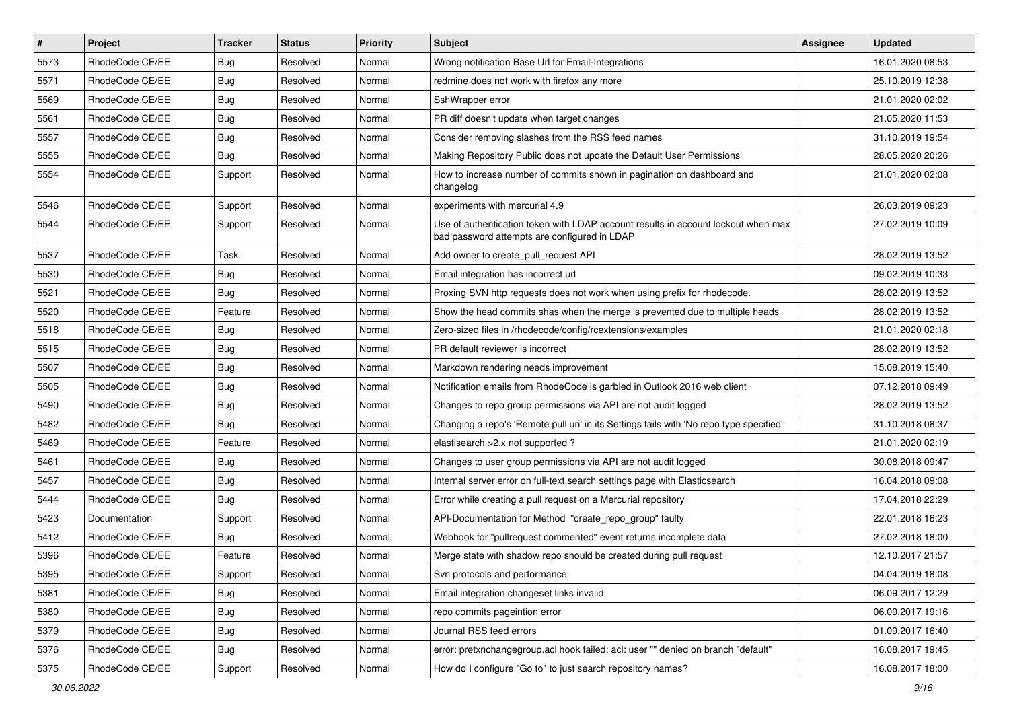| $\sharp$ | Project         | <b>Tracker</b> | <b>Status</b> | <b>Priority</b> | <b>Subject</b>                                                                                                                    | <b>Assignee</b> | <b>Updated</b>   |
|----------|-----------------|----------------|---------------|-----------------|-----------------------------------------------------------------------------------------------------------------------------------|-----------------|------------------|
| 5573     | RhodeCode CE/EE | <b>Bug</b>     | Resolved      | Normal          | Wrong notification Base Url for Email-Integrations                                                                                |                 | 16.01.2020 08:53 |
| 5571     | RhodeCode CE/EE | Bug            | Resolved      | Normal          | redmine does not work with firefox any more                                                                                       |                 | 25.10.2019 12:38 |
| 5569     | RhodeCode CE/EE | <b>Bug</b>     | Resolved      | Normal          | SshWrapper error                                                                                                                  |                 | 21.01.2020 02:02 |
| 5561     | RhodeCode CE/EE | <b>Bug</b>     | Resolved      | Normal          | PR diff doesn't update when target changes                                                                                        |                 | 21.05.2020 11:53 |
| 5557     | RhodeCode CE/EE | Bug            | Resolved      | Normal          | Consider removing slashes from the RSS feed names                                                                                 |                 | 31.10.2019 19:54 |
| 5555     | RhodeCode CE/EE | Bug            | Resolved      | Normal          | Making Repository Public does not update the Default User Permissions                                                             |                 | 28.05.2020 20:26 |
| 5554     | RhodeCode CE/EE | Support        | Resolved      | Normal          | How to increase number of commits shown in pagination on dashboard and<br>changelog                                               |                 | 21.01.2020 02:08 |
| 5546     | RhodeCode CE/EE | Support        | Resolved      | Normal          | experiments with mercurial 4.9                                                                                                    |                 | 26.03.2019 09:23 |
| 5544     | RhodeCode CE/EE | Support        | Resolved      | Normal          | Use of authentication token with LDAP account results in account lockout when max<br>bad password attempts are configured in LDAP |                 | 27.02.2019 10:09 |
| 5537     | RhodeCode CE/EE | Task           | Resolved      | Normal          | Add owner to create_pull_request API                                                                                              |                 | 28.02.2019 13:52 |
| 5530     | RhodeCode CE/EE | Bug            | Resolved      | Normal          | Email integration has incorrect url                                                                                               |                 | 09.02.2019 10:33 |
| 5521     | RhodeCode CE/EE | <b>Bug</b>     | Resolved      | Normal          | Proxing SVN http requests does not work when using prefix for rhodecode.                                                          |                 | 28.02.2019 13:52 |
| 5520     | RhodeCode CE/EE | Feature        | Resolved      | Normal          | Show the head commits shas when the merge is prevented due to multiple heads                                                      |                 | 28.02.2019 13:52 |
| 5518     | RhodeCode CE/EE | Bug            | Resolved      | Normal          | Zero-sized files in /rhodecode/config/rcextensions/examples                                                                       |                 | 21.01.2020 02:18 |
| 5515     | RhodeCode CE/EE | <b>Bug</b>     | Resolved      | Normal          | PR default reviewer is incorrect                                                                                                  |                 | 28.02.2019 13:52 |
| 5507     | RhodeCode CE/EE | <b>Bug</b>     | Resolved      | Normal          | Markdown rendering needs improvement                                                                                              |                 | 15.08.2019 15:40 |
| 5505     | RhodeCode CE/EE | <b>Bug</b>     | Resolved      | Normal          | Notification emails from RhodeCode is garbled in Outlook 2016 web client                                                          |                 | 07.12.2018 09:49 |
| 5490     | RhodeCode CE/EE | <b>Bug</b>     | Resolved      | Normal          | Changes to repo group permissions via API are not audit logged                                                                    |                 | 28.02.2019 13:52 |
| 5482     | RhodeCode CE/EE | <b>Bug</b>     | Resolved      | Normal          | Changing a repo's 'Remote pull uri' in its Settings fails with 'No repo type specified'                                           |                 | 31.10.2018 08:37 |
| 5469     | RhodeCode CE/EE | Feature        | Resolved      | Normal          | elastisearch > 2.x not supported ?                                                                                                |                 | 21.01.2020 02:19 |
| 5461     | RhodeCode CE/EE | Bug            | Resolved      | Normal          | Changes to user group permissions via API are not audit logged                                                                    |                 | 30.08.2018 09:47 |
| 5457     | RhodeCode CE/EE | <b>Bug</b>     | Resolved      | Normal          | Internal server error on full-text search settings page with Elasticsearch                                                        |                 | 16.04.2018 09:08 |
| 5444     | RhodeCode CE/EE | <b>Bug</b>     | Resolved      | Normal          | Error while creating a pull request on a Mercurial repository                                                                     |                 | 17.04.2018 22:29 |
| 5423     | Documentation   | Support        | Resolved      | Normal          | API-Documentation for Method "create_repo_group" faulty                                                                           |                 | 22.01.2018 16:23 |
| 5412     | RhodeCode CE/EE | Bug            | Resolved      | Normal          | Webhook for "pullrequest commented" event returns incomplete data                                                                 |                 | 27.02.2018 18:00 |
| 5396     | RhodeCode CE/EE | Feature        | Resolved      | Normal          | Merge state with shadow repo should be created during pull request                                                                |                 | 12.10.2017 21:57 |
| 5395     | RhodeCode CE/EE | Support        | Resolved      | Normal          | Svn protocols and performance                                                                                                     |                 | 04.04.2019 18:08 |
| 5381     | RhodeCode CE/EE | <b>Bug</b>     | Resolved      | Normal          | Email integration changeset links invalid                                                                                         |                 | 06.09.2017 12:29 |
| 5380     | RhodeCode CE/EE | Bug            | Resolved      | Normal          | repo commits pageintion error                                                                                                     |                 | 06.09.2017 19:16 |
| 5379     | RhodeCode CE/EE | <b>Bug</b>     | Resolved      | Normal          | Journal RSS feed errors                                                                                                           |                 | 01.09.2017 16:40 |
| 5376     | RhodeCode CE/EE | <b>Bug</b>     | Resolved      | Normal          | error: pretxnchangegroup.acl hook failed: acl: user "" denied on branch "default"                                                 |                 | 16.08.2017 19:45 |
| 5375     | RhodeCode CE/EE | Support        | Resolved      | Normal          | How do I configure "Go to" to just search repository names?                                                                       |                 | 16.08.2017 18:00 |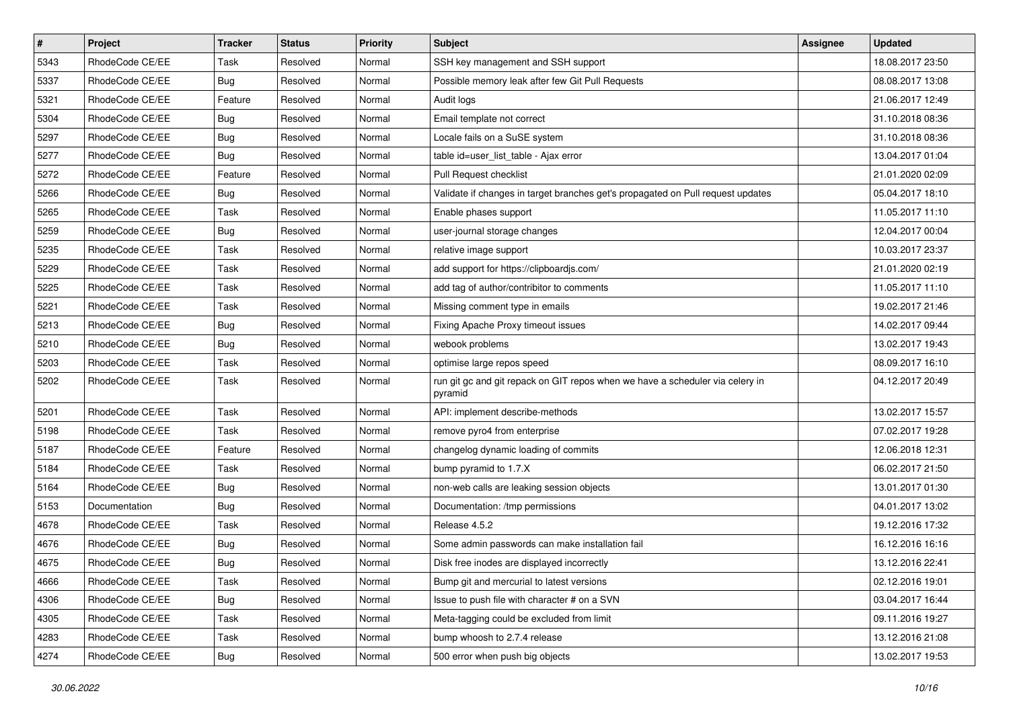| $\pmb{\#}$ | Project         | <b>Tracker</b> | <b>Status</b> | <b>Priority</b> | <b>Subject</b>                                                                           | Assignee | <b>Updated</b>   |
|------------|-----------------|----------------|---------------|-----------------|------------------------------------------------------------------------------------------|----------|------------------|
| 5343       | RhodeCode CE/EE | Task           | Resolved      | Normal          | SSH key management and SSH support                                                       |          | 18.08.2017 23:50 |
| 5337       | RhodeCode CE/EE | <b>Bug</b>     | Resolved      | Normal          | Possible memory leak after few Git Pull Requests                                         |          | 08.08.2017 13:08 |
| 5321       | RhodeCode CE/EE | Feature        | Resolved      | Normal          | Audit logs                                                                               |          | 21.06.2017 12:49 |
| 5304       | RhodeCode CE/EE | <b>Bug</b>     | Resolved      | Normal          | Email template not correct                                                               |          | 31.10.2018 08:36 |
| 5297       | RhodeCode CE/EE | Bug            | Resolved      | Normal          | Locale fails on a SuSE system                                                            |          | 31.10.2018 08:36 |
| 5277       | RhodeCode CE/EE | <b>Bug</b>     | Resolved      | Normal          | table id=user_list_table - Ajax error                                                    |          | 13.04.2017 01:04 |
| 5272       | RhodeCode CE/EE | Feature        | Resolved      | Normal          | Pull Request checklist                                                                   |          | 21.01.2020 02:09 |
| 5266       | RhodeCode CE/EE | <b>Bug</b>     | Resolved      | Normal          | Validate if changes in target branches get's propagated on Pull request updates          |          | 05.04.2017 18:10 |
| 5265       | RhodeCode CE/EE | Task           | Resolved      | Normal          | Enable phases support                                                                    |          | 11.05.2017 11:10 |
| 5259       | RhodeCode CE/EE | Bug            | Resolved      | Normal          | user-journal storage changes                                                             |          | 12.04.2017 00:04 |
| 5235       | RhodeCode CE/EE | Task           | Resolved      | Normal          | relative image support                                                                   |          | 10.03.2017 23:37 |
| 5229       | RhodeCode CE/EE | Task           | Resolved      | Normal          | add support for https://clipboardjs.com/                                                 |          | 21.01.2020 02:19 |
| 5225       | RhodeCode CE/EE | Task           | Resolved      | Normal          | add tag of author/contribitor to comments                                                |          | 11.05.2017 11:10 |
| 5221       | RhodeCode CE/EE | Task           | Resolved      | Normal          | Missing comment type in emails                                                           |          | 19.02.2017 21:46 |
| 5213       | RhodeCode CE/EE | <b>Bug</b>     | Resolved      | Normal          | Fixing Apache Proxy timeout issues                                                       |          | 14.02.2017 09:44 |
| 5210       | RhodeCode CE/EE | <b>Bug</b>     | Resolved      | Normal          | webook problems                                                                          |          | 13.02.2017 19:43 |
| 5203       | RhodeCode CE/EE | Task           | Resolved      | Normal          | optimise large repos speed                                                               |          | 08.09.2017 16:10 |
| 5202       | RhodeCode CE/EE | Task           | Resolved      | Normal          | run git gc and git repack on GIT repos when we have a scheduler via celery in<br>pyramid |          | 04.12.2017 20:49 |
| 5201       | RhodeCode CE/EE | Task           | Resolved      | Normal          | API: implement describe-methods                                                          |          | 13.02.2017 15:57 |
| 5198       | RhodeCode CE/EE | Task           | Resolved      | Normal          | remove pyro4 from enterprise                                                             |          | 07.02.2017 19:28 |
| 5187       | RhodeCode CE/EE | Feature        | Resolved      | Normal          | changelog dynamic loading of commits                                                     |          | 12.06.2018 12:31 |
| 5184       | RhodeCode CE/EE | Task           | Resolved      | Normal          | bump pyramid to 1.7.X                                                                    |          | 06.02.2017 21:50 |
| 5164       | RhodeCode CE/EE | <b>Bug</b>     | Resolved      | Normal          | non-web calls are leaking session objects                                                |          | 13.01.2017 01:30 |
| 5153       | Documentation   | Bug            | Resolved      | Normal          | Documentation: /tmp permissions                                                          |          | 04.01.2017 13:02 |
| 4678       | RhodeCode CE/EE | Task           | Resolved      | Normal          | Release 4.5.2                                                                            |          | 19.12.2016 17:32 |
| 4676       | RhodeCode CE/EE | <b>Bug</b>     | Resolved      | Normal          | Some admin passwords can make installation fail                                          |          | 16.12.2016 16:16 |
| 4675       | RhodeCode CE/EE | <b>Bug</b>     | Resolved      | Normal          | Disk free inodes are displayed incorrectly                                               |          | 13.12.2016 22:41 |
| 4666       | RhodeCode CE/EE | Task           | Resolved      | Normal          | Bump git and mercurial to latest versions                                                |          | 02.12.2016 19:01 |
| 4306       | RhodeCode CE/EE | <b>Bug</b>     | Resolved      | Normal          | Issue to push file with character # on a SVN                                             |          | 03.04.2017 16:44 |
| 4305       | RhodeCode CE/EE | Task           | Resolved      | Normal          | Meta-tagging could be excluded from limit                                                |          | 09.11.2016 19:27 |
| 4283       | RhodeCode CE/EE | Task           | Resolved      | Normal          | bump whoosh to 2.7.4 release                                                             |          | 13.12.2016 21:08 |
| 4274       | RhodeCode CE/EE | Bug            | Resolved      | Normal          | 500 error when push big objects                                                          |          | 13.02.2017 19:53 |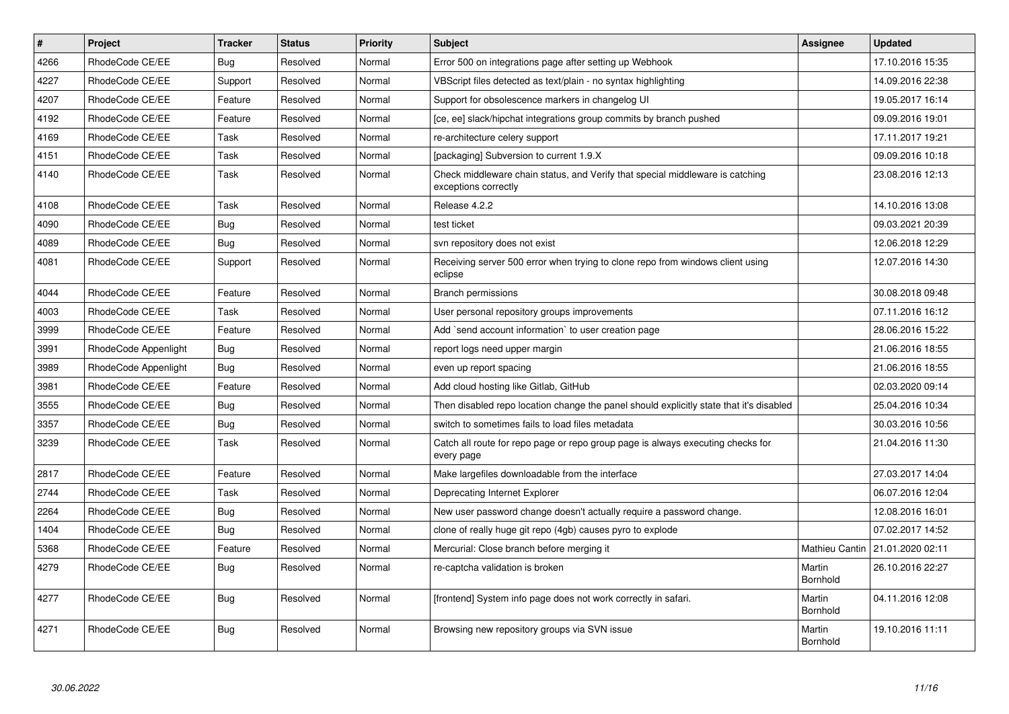| $\vert$ # | <b>Project</b>       | <b>Tracker</b> | <b>Status</b> | Priority | <b>Subject</b>                                                                                        | Assignee           | <b>Updated</b>   |
|-----------|----------------------|----------------|---------------|----------|-------------------------------------------------------------------------------------------------------|--------------------|------------------|
| 4266      | RhodeCode CE/EE      | Bug            | Resolved      | Normal   | Error 500 on integrations page after setting up Webhook                                               |                    | 17.10.2016 15:35 |
| 4227      | RhodeCode CE/EE      | Support        | Resolved      | Normal   | VBScript files detected as text/plain - no syntax highlighting                                        |                    | 14.09.2016 22:38 |
| 4207      | RhodeCode CE/EE      | Feature        | Resolved      | Normal   | Support for obsolescence markers in changelog UI                                                      |                    | 19.05.2017 16:14 |
| 4192      | RhodeCode CE/EE      | Feature        | Resolved      | Normal   | [ce, ee] slack/hipchat integrations group commits by branch pushed                                    |                    | 09.09.2016 19:01 |
| 4169      | RhodeCode CE/EE      | Task           | Resolved      | Normal   | re-architecture celery support                                                                        |                    | 17.11.2017 19:21 |
| 4151      | RhodeCode CE/EE      | Task           | Resolved      | Normal   | [packaging] Subversion to current 1.9.X                                                               |                    | 09.09.2016 10:18 |
| 4140      | RhodeCode CE/EE      | Task           | Resolved      | Normal   | Check middleware chain status, and Verify that special middleware is catching<br>exceptions correctly |                    | 23.08.2016 12:13 |
| 4108      | RhodeCode CE/EE      | Task           | Resolved      | Normal   | Release 4.2.2                                                                                         |                    | 14.10.2016 13:08 |
| 4090      | RhodeCode CE/EE      | Bug            | Resolved      | Normal   | test ticket                                                                                           |                    | 09.03.2021 20:39 |
| 4089      | RhodeCode CE/EE      | <b>Bug</b>     | Resolved      | Normal   | svn repository does not exist                                                                         |                    | 12.06.2018 12:29 |
| 4081      | RhodeCode CE/EE      | Support        | Resolved      | Normal   | Receiving server 500 error when trying to clone repo from windows client using<br>eclipse             |                    | 12.07.2016 14:30 |
| 4044      | RhodeCode CE/EE      | Feature        | Resolved      | Normal   | <b>Branch permissions</b>                                                                             |                    | 30.08.2018 09:48 |
| 4003      | RhodeCode CE/EE      | Task           | Resolved      | Normal   | User personal repository groups improvements                                                          |                    | 07.11.2016 16:12 |
| 3999      | RhodeCode CE/EE      | Feature        | Resolved      | Normal   | Add `send account information` to user creation page                                                  |                    | 28.06.2016 15:22 |
| 3991      | RhodeCode Appenlight | Bug            | Resolved      | Normal   | report logs need upper margin                                                                         |                    | 21.06.2016 18:55 |
| 3989      | RhodeCode Appenlight | Bug            | Resolved      | Normal   | even up report spacing                                                                                |                    | 21.06.2016 18:55 |
| 3981      | RhodeCode CE/EE      | Feature        | Resolved      | Normal   | Add cloud hosting like Gitlab, GitHub                                                                 |                    | 02.03.2020 09:14 |
| 3555      | RhodeCode CE/EE      | Bug            | Resolved      | Normal   | Then disabled repo location change the panel should explicitly state that it's disabled               |                    | 25.04.2016 10:34 |
| 3357      | RhodeCode CE/EE      | Bug            | Resolved      | Normal   | switch to sometimes fails to load files metadata                                                      |                    | 30.03.2016 10:56 |
| 3239      | RhodeCode CE/EE      | Task           | Resolved      | Normal   | Catch all route for repo page or repo group page is always executing checks for<br>every page         |                    | 21.04.2016 11:30 |
| 2817      | RhodeCode CE/EE      | Feature        | Resolved      | Normal   | Make largefiles downloadable from the interface                                                       |                    | 27.03.2017 14:04 |
| 2744      | RhodeCode CE/EE      | Task           | Resolved      | Normal   | Deprecating Internet Explorer                                                                         |                    | 06.07.2016 12:04 |
| 2264      | RhodeCode CE/EE      | Bug            | Resolved      | Normal   | New user password change doesn't actually require a password change.                                  |                    | 12.08.2016 16:01 |
| 1404      | RhodeCode CE/EE      | Bug            | Resolved      | Normal   | clone of really huge git repo (4gb) causes pyro to explode                                            |                    | 07.02.2017 14:52 |
| 5368      | RhodeCode CE/EE      | Feature        | Resolved      | Normal   | Mercurial: Close branch before merging it                                                             | Mathieu Cantin     | 21.01.2020 02:11 |
| 4279      | RhodeCode CE/EE      | Bug            | Resolved      | Normal   | re-captcha validation is broken                                                                       | Martin<br>Bornhold | 26.10.2016 22:27 |
| 4277      | RhodeCode CE/EE      | Bug            | Resolved      | Normal   | [frontend] System info page does not work correctly in safari.                                        | Martin<br>Bornhold | 04.11.2016 12:08 |
| 4271      | RhodeCode CE/EE      | Bug            | Resolved      | Normal   | Browsing new repository groups via SVN issue                                                          | Martin<br>Bornhold | 19.10.2016 11:11 |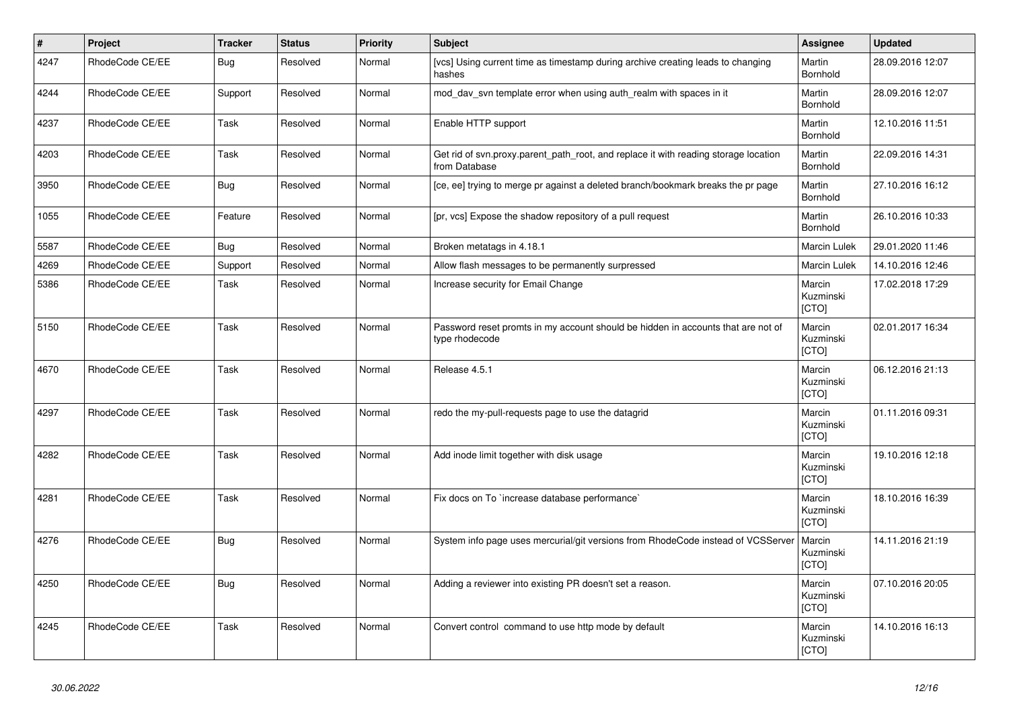| $\vert$ # | Project         | <b>Tracker</b> | <b>Status</b> | <b>Priority</b> | <b>Subject</b>                                                                                       | Assignee                            | <b>Updated</b>   |
|-----------|-----------------|----------------|---------------|-----------------|------------------------------------------------------------------------------------------------------|-------------------------------------|------------------|
| 4247      | RhodeCode CE/EE | Bug            | Resolved      | Normal          | [vcs] Using current time as timestamp during archive creating leads to changing<br>hashes            | Martin<br>Bornhold                  | 28.09.2016 12:07 |
| 4244      | RhodeCode CE/EE | Support        | Resolved      | Normal          | mod day syn template error when using auth realm with spaces in it                                   | Martin<br>Bornhold                  | 28.09.2016 12:07 |
| 4237      | RhodeCode CE/EE | Task           | Resolved      | Normal          | Enable HTTP support                                                                                  | Martin<br>Bornhold                  | 12.10.2016 11:51 |
| 4203      | RhodeCode CE/EE | Task           | Resolved      | Normal          | Get rid of svn.proxy.parent path root, and replace it with reading storage location<br>from Database | Martin<br>Bornhold                  | 22.09.2016 14:31 |
| 3950      | RhodeCode CE/EE | Bug            | Resolved      | Normal          | [ce, ee] trying to merge pr against a deleted branch/bookmark breaks the pr page                     | Martin<br>Bornhold                  | 27.10.2016 16:12 |
| 1055      | RhodeCode CE/EE | Feature        | Resolved      | Normal          | [pr, vcs] Expose the shadow repository of a pull request                                             | Martin<br>Bornhold                  | 26.10.2016 10:33 |
| 5587      | RhodeCode CE/EE | Bug            | Resolved      | Normal          | Broken metatags in 4.18.1                                                                            | Marcin Lulek                        | 29.01.2020 11:46 |
| 4269      | RhodeCode CE/EE | Support        | Resolved      | Normal          | Allow flash messages to be permanently surpressed                                                    | Marcin Lulek                        | 14.10.2016 12:46 |
| 5386      | RhodeCode CE/EE | Task           | Resolved      | Normal          | Increase security for Email Change                                                                   | Marcin<br>Kuzminski<br>[CTO]        | 17.02.2018 17:29 |
| 5150      | RhodeCode CE/EE | Task           | Resolved      | Normal          | Password reset promts in my account should be hidden in accounts that are not of<br>type rhodecode   | Marcin<br>Kuzminski<br>[CTO]        | 02.01.2017 16:34 |
| 4670      | RhodeCode CE/EE | Task           | Resolved      | Normal          | Release 4.5.1                                                                                        | Marcin<br>Kuzminski<br>[CTO]        | 06.12.2016 21:13 |
| 4297      | RhodeCode CE/EE | Task           | Resolved      | Normal          | redo the my-pull-requests page to use the datagrid                                                   | Marcin<br>Kuzminski<br>[CTO]        | 01.11.2016 09:31 |
| 4282      | RhodeCode CE/EE | Task           | Resolved      | Normal          | Add inode limit together with disk usage                                                             | Marcin<br>Kuzminski<br><b>ICTOI</b> | 19.10.2016 12:18 |
| 4281      | RhodeCode CE/EE | Task           | Resolved      | Normal          | Fix docs on To `increase database performance`                                                       | Marcin<br>Kuzminski<br>[CTO]        | 18.10.2016 16:39 |
| 4276      | RhodeCode CE/EE | <b>Bug</b>     | Resolved      | Normal          | System info page uses mercurial/git versions from RhodeCode instead of VCSServer                     | Marcin<br>Kuzminski<br>[CTO]        | 14.11.2016 21:19 |
| 4250      | RhodeCode CE/EE | Bug            | Resolved      | Normal          | Adding a reviewer into existing PR doesn't set a reason.                                             | Marcin<br>Kuzminski<br>[CTO]        | 07.10.2016 20:05 |
| 4245      | RhodeCode CE/EE | Task           | Resolved      | Normal          | Convert control command to use http mode by default                                                  | Marcin<br>Kuzminski<br>[CTO]        | 14.10.2016 16:13 |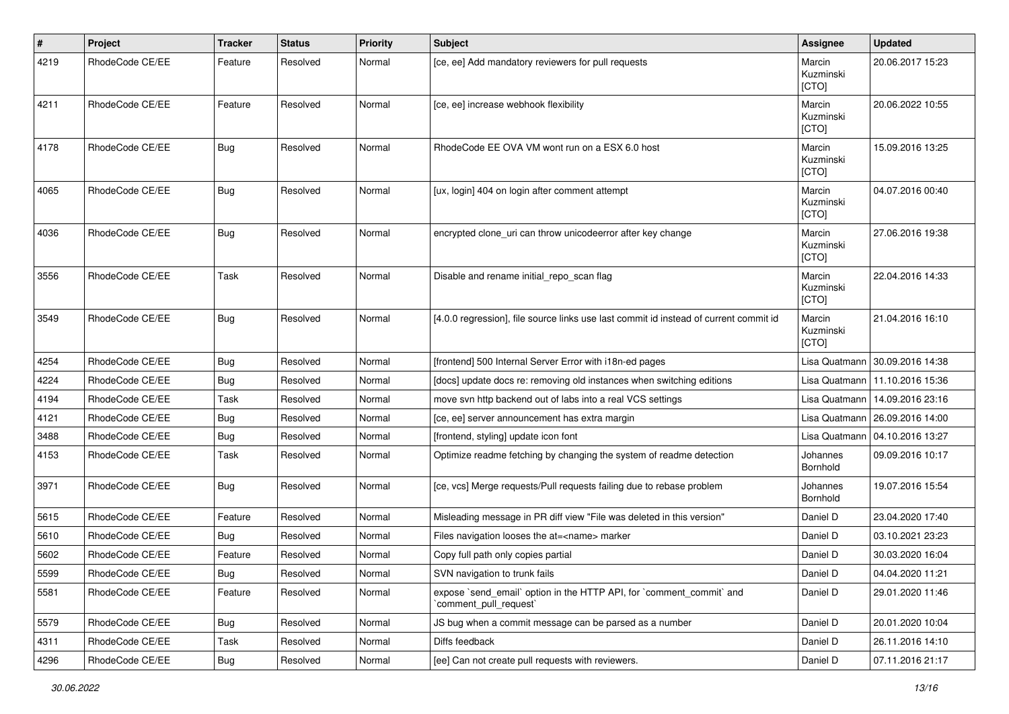| $\vert$ # | Project         | <b>Tracker</b> | <b>Status</b> | <b>Priority</b> | <b>Subject</b>                                                                                 | Assignee                     | <b>Updated</b>                   |
|-----------|-----------------|----------------|---------------|-----------------|------------------------------------------------------------------------------------------------|------------------------------|----------------------------------|
| 4219      | RhodeCode CE/EE | Feature        | Resolved      | Normal          | [ce, ee] Add mandatory reviewers for pull requests                                             | Marcin<br>Kuzminski<br>[CTO] | 20.06.2017 15:23                 |
| 4211      | RhodeCode CE/EE | Feature        | Resolved      | Normal          | [ce, ee] increase webhook flexibility                                                          | Marcin<br>Kuzminski<br>[CTO] | 20.06.2022 10:55                 |
| 4178      | RhodeCode CE/EE | Bug            | Resolved      | Normal          | RhodeCode EE OVA VM wont run on a ESX 6.0 host                                                 | Marcin<br>Kuzminski<br>[CTO] | 15.09.2016 13:25                 |
| 4065      | RhodeCode CE/EE | Bug            | Resolved      | Normal          | [ux, login] 404 on login after comment attempt                                                 | Marcin<br>Kuzminski<br>[CTO] | 04.07.2016 00:40                 |
| 4036      | RhodeCode CE/EE | Bug            | Resolved      | Normal          | encrypted clone_uri can throw unicodeerror after key change                                    | Marcin<br>Kuzminski<br>[CTO] | 27.06.2016 19:38                 |
| 3556      | RhodeCode CE/EE | Task           | Resolved      | Normal          | Disable and rename initial_repo_scan flag                                                      | Marcin<br>Kuzminski<br>[CTO] | 22.04.2016 14:33                 |
| 3549      | RhodeCode CE/EE | Bug            | Resolved      | Normal          | [4.0.0 regression], file source links use last commit id instead of current commit id          | Marcin<br>Kuzminski<br>[CTO] | 21.04.2016 16:10                 |
| 4254      | RhodeCode CE/EE | Bug            | Resolved      | Normal          | [frontend] 500 Internal Server Error with i18n-ed pages                                        |                              | Lisa Quatmann   30.09.2016 14:38 |
| 4224      | RhodeCode CE/EE | Bug            | Resolved      | Normal          | [docs] update docs re: removing old instances when switching editions                          |                              | Lisa Quatmann   11.10.2016 15:36 |
| 4194      | RhodeCode CE/EE | Task           | Resolved      | Normal          | move svn http backend out of labs into a real VCS settings                                     |                              | Lisa Quatmann   14.09.2016 23:16 |
| 4121      | RhodeCode CE/EE | Bug            | Resolved      | Normal          | [ce, ee] server announcement has extra margin                                                  |                              | Lisa Quatmann   26.09.2016 14:00 |
| 3488      | RhodeCode CE/EE | Bug            | Resolved      | Normal          | [frontend, styling] update icon font                                                           |                              | Lisa Quatmann   04.10.2016 13:27 |
| 4153      | RhodeCode CE/EE | Task           | Resolved      | Normal          | Optimize readme fetching by changing the system of readme detection                            | Johannes<br>Bornhold         | 09.09.2016 10:17                 |
| 3971      | RhodeCode CE/EE | Bug            | Resolved      | Normal          | [ce, vcs] Merge requests/Pull requests failing due to rebase problem                           | Johannes<br><b>Bornhold</b>  | 19.07.2016 15:54                 |
| 5615      | RhodeCode CE/EE | Feature        | Resolved      | Normal          | Misleading message in PR diff view "File was deleted in this version"                          | Daniel D                     | 23.04.2020 17:40                 |
| 5610      | RhodeCode CE/EE | Bug            | Resolved      | Normal          | Files navigation looses the at= <name> marker</name>                                           | Daniel D                     | 03.10.2021 23:23                 |
| 5602      | RhodeCode CE/EE | Feature        | Resolved      | Normal          | Copy full path only copies partial                                                             | Daniel D                     | 30.03.2020 16:04                 |
| 5599      | RhodeCode CE/EE | <b>Bug</b>     | Resolved      | Normal          | SVN navigation to trunk fails                                                                  | Daniel D                     | 04.04.2020 11:21                 |
| 5581      | RhodeCode CE/EE | Feature        | Resolved      | Normal          | expose `send email` option in the HTTP API, for `comment commit` and<br>`comment_pull_request` | Daniel D                     | 29.01.2020 11:46                 |
| 5579      | RhodeCode CE/EE | Bug            | Resolved      | Normal          | JS bug when a commit message can be parsed as a number                                         | Daniel D                     | 20.01.2020 10:04                 |
| 4311      | RhodeCode CE/EE | Task           | Resolved      | Normal          | Diffs feedback                                                                                 | Daniel D                     | 26.11.2016 14:10                 |
| 4296      | RhodeCode CE/EE | Bug            | Resolved      | Normal          | [ee] Can not create pull requests with reviewers.                                              | Daniel D                     | 07.11.2016 21:17                 |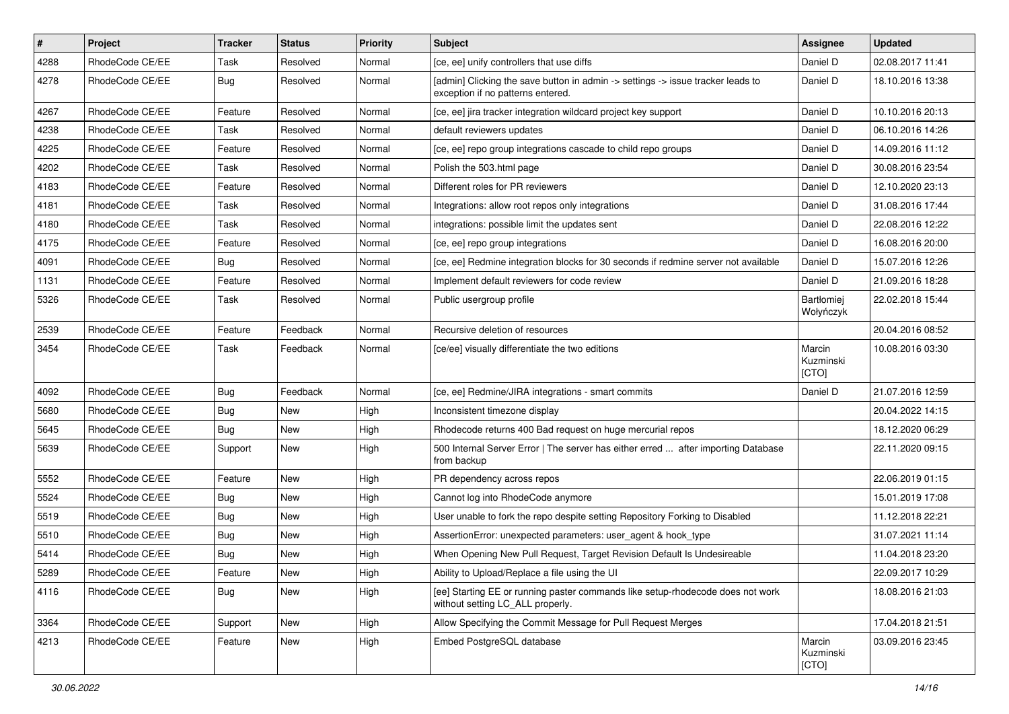| #    | Project         | <b>Tracker</b> | <b>Status</b> | <b>Priority</b> | <b>Subject</b>                                                                                                       | Assignee                     | <b>Updated</b>   |
|------|-----------------|----------------|---------------|-----------------|----------------------------------------------------------------------------------------------------------------------|------------------------------|------------------|
| 4288 | RhodeCode CE/EE | Task           | Resolved      | Normal          | [ce, ee] unify controllers that use diffs                                                                            | Daniel D                     | 02.08.2017 11:41 |
| 4278 | RhodeCode CE/EE | Bug            | Resolved      | Normal          | [admin] Clicking the save button in admin -> settings -> issue tracker leads to<br>exception if no patterns entered. | Daniel D                     | 18.10.2016 13:38 |
| 4267 | RhodeCode CE/EE | Feature        | Resolved      | Normal          | [ce, ee] jira tracker integration wildcard project key support                                                       | Daniel D                     | 10.10.2016 20:13 |
| 4238 | RhodeCode CE/EE | Task           | Resolved      | Normal          | default reviewers updates                                                                                            | Daniel D                     | 06.10.2016 14:26 |
| 4225 | RhodeCode CE/EE | Feature        | Resolved      | Normal          | [ce, ee] repo group integrations cascade to child repo groups                                                        | Daniel D                     | 14.09.2016 11:12 |
| 4202 | RhodeCode CE/EE | Task           | Resolved      | Normal          | Polish the 503.html page                                                                                             | Daniel D                     | 30.08.2016 23:54 |
| 4183 | RhodeCode CE/EE | Feature        | Resolved      | Normal          | Different roles for PR reviewers                                                                                     | Daniel D                     | 12.10.2020 23:13 |
| 4181 | RhodeCode CE/EE | Task           | Resolved      | Normal          | Integrations: allow root repos only integrations                                                                     | Daniel D                     | 31.08.2016 17:44 |
| 4180 | RhodeCode CE/EE | Task           | Resolved      | Normal          | integrations: possible limit the updates sent                                                                        | Daniel D                     | 22.08.2016 12:22 |
| 4175 | RhodeCode CE/EE | Feature        | Resolved      | Normal          | [ce, ee] repo group integrations                                                                                     | Daniel D                     | 16.08.2016 20:00 |
| 4091 | RhodeCode CE/EE | Bug            | Resolved      | Normal          | [ce, ee] Redmine integration blocks for 30 seconds if redmine server not available                                   | Daniel D                     | 15.07.2016 12:26 |
| 1131 | RhodeCode CE/EE | Feature        | Resolved      | Normal          | Implement default reviewers for code review                                                                          | Daniel D                     | 21.09.2016 18:28 |
| 5326 | RhodeCode CE/EE | Task           | Resolved      | Normal          | Public usergroup profile                                                                                             | Bartłomiej<br>Wołyńczyk      | 22.02.2018 15:44 |
| 2539 | RhodeCode CE/EE | Feature        | Feedback      | Normal          | Recursive deletion of resources                                                                                      |                              | 20.04.2016 08:52 |
| 3454 | RhodeCode CE/EE | Task           | Feedback      | Normal          | [ce/ee] visually differentiate the two editions                                                                      | Marcin<br>Kuzminski<br>[CTO] | 10.08.2016 03:30 |
| 4092 | RhodeCode CE/EE | Bug            | Feedback      | Normal          | [ce, ee] Redmine/JIRA integrations - smart commits                                                                   | Daniel D                     | 21.07.2016 12:59 |
| 5680 | RhodeCode CE/EE | <b>Bug</b>     | <b>New</b>    | High            | Inconsistent timezone display                                                                                        |                              | 20.04.2022 14:15 |
| 5645 | RhodeCode CE/EE | Bug            | New           | High            | Rhodecode returns 400 Bad request on huge mercurial repos                                                            |                              | 18.12.2020 06:29 |
| 5639 | RhodeCode CE/EE | Support        | New           | High            | 500 Internal Server Error   The server has either erred  after importing Database<br>from backup                     |                              | 22.11.2020 09:15 |
| 5552 | RhodeCode CE/EE | Feature        | <b>New</b>    | High            | PR dependency across repos                                                                                           |                              | 22.06.2019 01:15 |
| 5524 | RhodeCode CE/EE | Bug            | <b>New</b>    | High            | Cannot log into RhodeCode anymore                                                                                    |                              | 15.01.2019 17:08 |
| 5519 | RhodeCode CE/EE | Bug            | New           | High            | User unable to fork the repo despite setting Repository Forking to Disabled                                          |                              | 11.12.2018 22:21 |
| 5510 | RhodeCode CE/EE | Bug            | New           | High            | AssertionError: unexpected parameters: user_agent & hook_type                                                        |                              | 31.07.2021 11:14 |
| 5414 | RhodeCode CE/EE | Bug            | <b>New</b>    | High            | When Opening New Pull Request, Target Revision Default Is Undesireable                                               |                              | 11.04.2018 23:20 |
| 5289 | RhodeCode CE/EE | Feature        | New           | High            | Ability to Upload/Replace a file using the UI                                                                        |                              | 22.09.2017 10:29 |
| 4116 | RhodeCode CE/EE | <b>Bug</b>     | <b>New</b>    | High            | [ee] Starting EE or running paster commands like setup-rhodecode does not work<br>without setting LC_ALL properly.   |                              | 18.08.2016 21:03 |
| 3364 | RhodeCode CE/EE | Support        | New           | High            | Allow Specifying the Commit Message for Pull Request Merges                                                          |                              | 17.04.2018 21:51 |
| 4213 | RhodeCode CE/EE | Feature        | New           | High            | Embed PostgreSQL database                                                                                            | Marcin<br>Kuzminski<br>[CTO] | 03.09.2016 23:45 |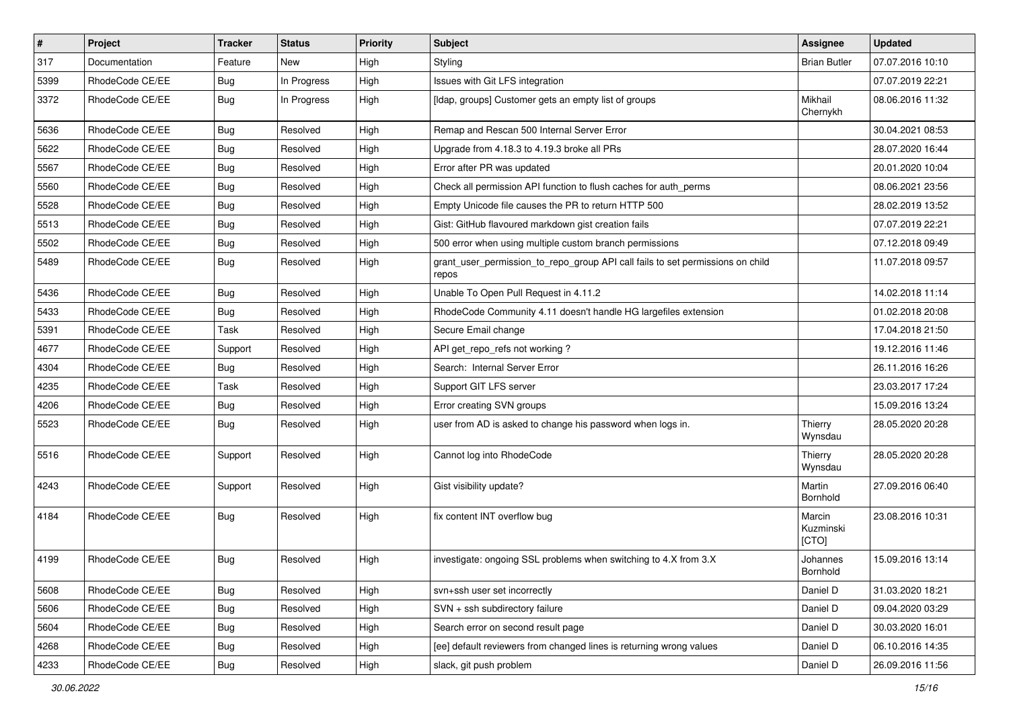| $\pmb{\#}$ | <b>Project</b>  | <b>Tracker</b> | <b>Status</b> | <b>Priority</b> | <b>Subject</b>                                                                          | <b>Assignee</b>              | <b>Updated</b>   |
|------------|-----------------|----------------|---------------|-----------------|-----------------------------------------------------------------------------------------|------------------------------|------------------|
| 317        | Documentation   | Feature        | New           | High            | Styling                                                                                 | <b>Brian Butler</b>          | 07.07.2016 10:10 |
| 5399       | RhodeCode CE/EE | <b>Bug</b>     | In Progress   | High            | Issues with Git LFS integration                                                         |                              | 07.07.2019 22:21 |
| 3372       | RhodeCode CE/EE | Bug            | In Progress   | High            | [Idap, groups] Customer gets an empty list of groups                                    | Mikhail<br>Chernykh          | 08.06.2016 11:32 |
| 5636       | RhodeCode CE/EE | Bug            | Resolved      | High            | Remap and Rescan 500 Internal Server Error                                              |                              | 30.04.2021 08:53 |
| 5622       | RhodeCode CE/EE | <b>Bug</b>     | Resolved      | High            | Upgrade from 4.18.3 to 4.19.3 broke all PRs                                             |                              | 28.07.2020 16:44 |
| 5567       | RhodeCode CE/EE | Bug            | Resolved      | High            | Error after PR was updated                                                              |                              | 20.01.2020 10:04 |
| 5560       | RhodeCode CE/EE | <b>Bug</b>     | Resolved      | High            | Check all permission API function to flush caches for auth_perms                        |                              | 08.06.2021 23:56 |
| 5528       | RhodeCode CE/EE | <b>Bug</b>     | Resolved      | High            | Empty Unicode file causes the PR to return HTTP 500                                     |                              | 28.02.2019 13:52 |
| 5513       | RhodeCode CE/EE | Bug            | Resolved      | High            | Gist: GitHub flavoured markdown gist creation fails                                     |                              | 07.07.2019 22:21 |
| 5502       | RhodeCode CE/EE | Bug            | Resolved      | High            | 500 error when using multiple custom branch permissions                                 |                              | 07.12.2018 09:49 |
| 5489       | RhodeCode CE/EE | Bug            | Resolved      | High            | grant_user_permission_to_repo_group API call fails to set permissions on child<br>repos |                              | 11.07.2018 09:57 |
| 5436       | RhodeCode CE/EE | Bug            | Resolved      | High            | Unable To Open Pull Request in 4.11.2                                                   |                              | 14.02.2018 11:14 |
| 5433       | RhodeCode CE/EE | Bug            | Resolved      | High            | RhodeCode Community 4.11 doesn't handle HG largefiles extension                         |                              | 01.02.2018 20:08 |
| 5391       | RhodeCode CE/EE | Task           | Resolved      | High            | Secure Email change                                                                     |                              | 17.04.2018 21:50 |
| 4677       | RhodeCode CE/EE | Support        | Resolved      | High            | API get_repo_refs not working?                                                          |                              | 19.12.2016 11:46 |
| 4304       | RhodeCode CE/EE | Bug            | Resolved      | High            | Search: Internal Server Error                                                           |                              | 26.11.2016 16:26 |
| 4235       | RhodeCode CE/EE | Task           | Resolved      | High            | Support GIT LFS server                                                                  |                              | 23.03.2017 17:24 |
| 4206       | RhodeCode CE/EE | Bug            | Resolved      | High            | Error creating SVN groups                                                               |                              | 15.09.2016 13:24 |
| 5523       | RhodeCode CE/EE | Bug            | Resolved      | High            | user from AD is asked to change his password when logs in.                              | Thierry<br>Wynsdau           | 28.05.2020 20:28 |
| 5516       | RhodeCode CE/EE | Support        | Resolved      | High            | Cannot log into RhodeCode                                                               | Thierry<br>Wynsdau           | 28.05.2020 20:28 |
| 4243       | RhodeCode CE/EE | Support        | Resolved      | High            | Gist visibility update?                                                                 | Martin<br>Bornhold           | 27.09.2016 06:40 |
| 4184       | RhodeCode CE/EE | Bug            | Resolved      | High            | fix content INT overflow bug                                                            | Marcin<br>Kuzminski<br>[CTO] | 23.08.2016 10:31 |
| 4199       | RhodeCode CE/EE | Bug            | Resolved      | High            | investigate: ongoing SSL problems when switching to 4.X from 3.X                        | Johannes<br>Bornhold         | 15.09.2016 13:14 |
| 5608       | RhodeCode CE/EE | Bug            | Resolved      | High            | svn+ssh user set incorrectly                                                            | Daniel D                     | 31.03.2020 18:21 |
| 5606       | RhodeCode CE/EE | Bug            | Resolved      | High            | SVN + ssh subdirectory failure                                                          | Daniel D                     | 09.04.2020 03:29 |
| 5604       | RhodeCode CE/EE | Bug            | Resolved      | High            | Search error on second result page                                                      | Daniel D                     | 30.03.2020 16:01 |
| 4268       | RhodeCode CE/EE | <b>Bug</b>     | Resolved      | High            | [ee] default reviewers from changed lines is returning wrong values                     | Daniel D                     | 06.10.2016 14:35 |
| 4233       | RhodeCode CE/EE | <b>Bug</b>     | Resolved      | High            | slack, git push problem                                                                 | Daniel D                     | 26.09.2016 11:56 |